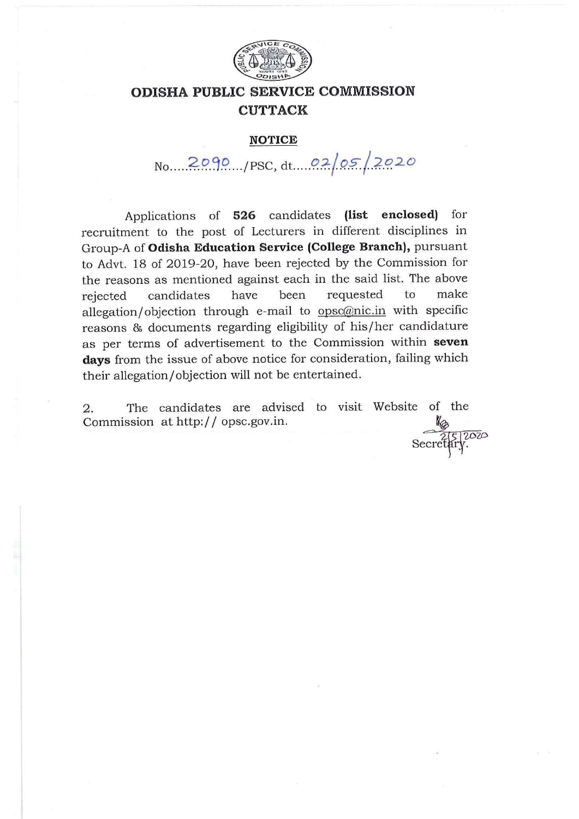

#### **NOTICE**

 $\text{No.....}2090.../\text{PSC}, dt...0205/2020$ 

Applications of 526 candidates (list enclosed) for recruitment to the post of Lecturers in different disciplines in Group-A of Odisha Education Service (College Branch), pursuant to Advt. 18 of 2019-20, have been rejected by the Commission for the reasons as mentioned against each in the said list. The above make requested  $\overline{t}$ candidates have been rejected allegation/objection through e-mail to opsc@nic.in with specific reasons & documents regarding eligibility of his/her candidature as per terms of advertisement to the Commission within seven days from the issue of above notice for consideration, failing which their allegation/objection will not be entertained.

The candidates are advised to visit Website of the 2. Commission at http:// opsc.gov.in.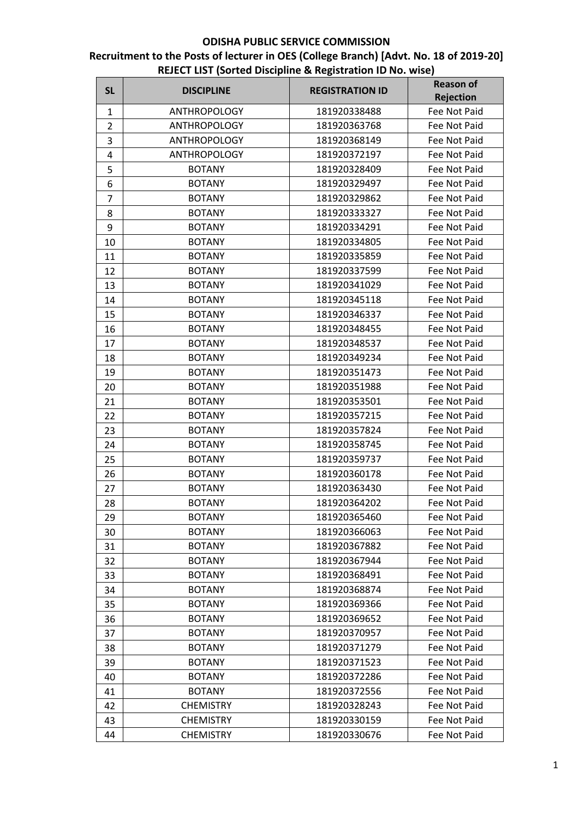| <b>SL</b>      | <b>DISCIPLINE</b>   | <b>REGISTRATION ID</b> | <b>Reason of</b> |
|----------------|---------------------|------------------------|------------------|
|                |                     |                        | <b>Rejection</b> |
| $\mathbf{1}$   | <b>ANTHROPOLOGY</b> | 181920338488           | Fee Not Paid     |
| $\overline{2}$ | <b>ANTHROPOLOGY</b> | 181920363768           | Fee Not Paid     |
| 3              | <b>ANTHROPOLOGY</b> | 181920368149           | Fee Not Paid     |
| 4              | <b>ANTHROPOLOGY</b> | 181920372197           | Fee Not Paid     |
| 5              | <b>BOTANY</b>       | 181920328409           | Fee Not Paid     |
| 6              | <b>BOTANY</b>       | 181920329497           | Fee Not Paid     |
| $\overline{7}$ | <b>BOTANY</b>       | 181920329862           | Fee Not Paid     |
| 8              | <b>BOTANY</b>       | 181920333327           | Fee Not Paid     |
| 9              | <b>BOTANY</b>       | 181920334291           | Fee Not Paid     |
| 10             | <b>BOTANY</b>       | 181920334805           | Fee Not Paid     |
| 11             | <b>BOTANY</b>       | 181920335859           | Fee Not Paid     |
| 12             | <b>BOTANY</b>       | 181920337599           | Fee Not Paid     |
| 13             | <b>BOTANY</b>       | 181920341029           | Fee Not Paid     |
| 14             | <b>BOTANY</b>       | 181920345118           | Fee Not Paid     |
| 15             | <b>BOTANY</b>       | 181920346337           | Fee Not Paid     |
| 16             | <b>BOTANY</b>       | 181920348455           | Fee Not Paid     |
| 17             | <b>BOTANY</b>       | 181920348537           | Fee Not Paid     |
| 18             | <b>BOTANY</b>       | 181920349234           | Fee Not Paid     |
| 19             | <b>BOTANY</b>       | 181920351473           | Fee Not Paid     |
| 20             | <b>BOTANY</b>       | 181920351988           | Fee Not Paid     |
| 21             | <b>BOTANY</b>       | 181920353501           | Fee Not Paid     |
| 22             | <b>BOTANY</b>       | 181920357215           | Fee Not Paid     |
| 23             | <b>BOTANY</b>       | 181920357824           | Fee Not Paid     |
| 24             | <b>BOTANY</b>       | 181920358745           | Fee Not Paid     |
| 25             | <b>BOTANY</b>       | 181920359737           | Fee Not Paid     |
| 26             | <b>BOTANY</b>       | 181920360178           | Fee Not Paid     |
| 27             | <b>BOTANY</b>       | 181920363430           | Fee Not Paid     |
| 28             | <b>BOTANY</b>       | 181920364202           | Fee Not Paid     |
| 29             | <b>BOTANY</b>       | 181920365460           | Fee Not Paid     |
| 30             | <b>BOTANY</b>       | 181920366063           | Fee Not Paid     |
| 31             | <b>BOTANY</b>       | 181920367882           | Fee Not Paid     |
| 32             | <b>BOTANY</b>       | 181920367944           | Fee Not Paid     |
| 33             | <b>BOTANY</b>       | 181920368491           | Fee Not Paid     |
| 34             | <b>BOTANY</b>       | 181920368874           | Fee Not Paid     |
| 35             | <b>BOTANY</b>       | 181920369366           | Fee Not Paid     |
| 36             | <b>BOTANY</b>       | 181920369652           | Fee Not Paid     |
| 37             | <b>BOTANY</b>       | 181920370957           | Fee Not Paid     |
| 38             | <b>BOTANY</b>       | 181920371279           | Fee Not Paid     |
| 39             | <b>BOTANY</b>       | 181920371523           | Fee Not Paid     |
| 40             | <b>BOTANY</b>       | 181920372286           | Fee Not Paid     |
| 41             | <b>BOTANY</b>       | 181920372556           | Fee Not Paid     |
| 42             | <b>CHEMISTRY</b>    | 181920328243           | Fee Not Paid     |
| 43             | <b>CHEMISTRY</b>    | 181920330159           | Fee Not Paid     |
| 44             | <b>CHEMISTRY</b>    | 181920330676           | Fee Not Paid     |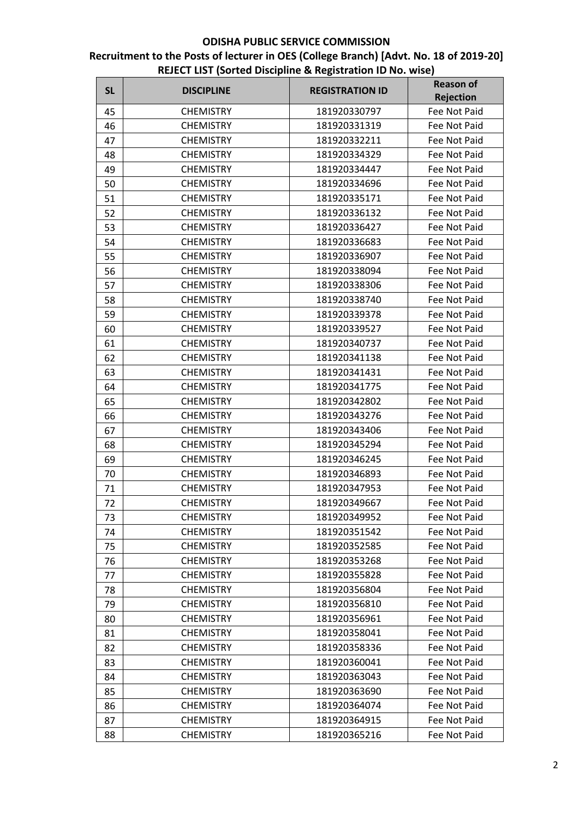| <b>SL</b> | <b>DISCIPLINE</b> | <b>REGISTRATION ID</b> | <b>Reason of</b> |
|-----------|-------------------|------------------------|------------------|
|           |                   |                        | <b>Rejection</b> |
| 45        | <b>CHEMISTRY</b>  | 181920330797           | Fee Not Paid     |
| 46        | <b>CHEMISTRY</b>  | 181920331319           | Fee Not Paid     |
| 47        | <b>CHEMISTRY</b>  | 181920332211           | Fee Not Paid     |
| 48        | <b>CHEMISTRY</b>  | 181920334329           | Fee Not Paid     |
| 49        | <b>CHEMISTRY</b>  | 181920334447           | Fee Not Paid     |
| 50        | <b>CHEMISTRY</b>  | 181920334696           | Fee Not Paid     |
| 51        | <b>CHEMISTRY</b>  | 181920335171           | Fee Not Paid     |
| 52        | <b>CHEMISTRY</b>  | 181920336132           | Fee Not Paid     |
| 53        | <b>CHEMISTRY</b>  | 181920336427           | Fee Not Paid     |
| 54        | <b>CHEMISTRY</b>  | 181920336683           | Fee Not Paid     |
| 55        | <b>CHEMISTRY</b>  | 181920336907           | Fee Not Paid     |
| 56        | <b>CHEMISTRY</b>  | 181920338094           | Fee Not Paid     |
| 57        | <b>CHEMISTRY</b>  | 181920338306           | Fee Not Paid     |
| 58        | <b>CHEMISTRY</b>  | 181920338740           | Fee Not Paid     |
| 59        | <b>CHEMISTRY</b>  | 181920339378           | Fee Not Paid     |
| 60        | <b>CHEMISTRY</b>  | 181920339527           | Fee Not Paid     |
| 61        | <b>CHEMISTRY</b>  | 181920340737           | Fee Not Paid     |
| 62        | <b>CHEMISTRY</b>  | 181920341138           | Fee Not Paid     |
| 63        | <b>CHEMISTRY</b>  | 181920341431           | Fee Not Paid     |
| 64        | <b>CHEMISTRY</b>  | 181920341775           | Fee Not Paid     |
| 65        | <b>CHEMISTRY</b>  | 181920342802           | Fee Not Paid     |
| 66        | <b>CHEMISTRY</b>  | 181920343276           | Fee Not Paid     |
| 67        | <b>CHEMISTRY</b>  | 181920343406           | Fee Not Paid     |
| 68        | <b>CHEMISTRY</b>  | 181920345294           | Fee Not Paid     |
| 69        | <b>CHEMISTRY</b>  | 181920346245           | Fee Not Paid     |
| 70        | <b>CHEMISTRY</b>  | 181920346893           | Fee Not Paid     |
| 71        | <b>CHEMISTRY</b>  | 181920347953           | Fee Not Paid     |
| 72        | <b>CHEMISTRY</b>  | 181920349667           | Fee Not Paid     |
| 73        | <b>CHEMISTRY</b>  | 181920349952           | Fee Not Paid     |
| 74        | <b>CHEMISTRY</b>  | 181920351542           | Fee Not Paid     |
| 75        | <b>CHEMISTRY</b>  | 181920352585           | Fee Not Paid     |
| 76        | <b>CHEMISTRY</b>  | 181920353268           | Fee Not Paid     |
| 77        | <b>CHEMISTRY</b>  | 181920355828           | Fee Not Paid     |
| 78        | <b>CHEMISTRY</b>  | 181920356804           | Fee Not Paid     |
| 79        | <b>CHEMISTRY</b>  | 181920356810           | Fee Not Paid     |
| 80        | <b>CHEMISTRY</b>  | 181920356961           | Fee Not Paid     |
| 81        | <b>CHEMISTRY</b>  | 181920358041           | Fee Not Paid     |
| 82        | <b>CHEMISTRY</b>  | 181920358336           | Fee Not Paid     |
| 83        | <b>CHEMISTRY</b>  | 181920360041           | Fee Not Paid     |
| 84        | <b>CHEMISTRY</b>  | 181920363043           | Fee Not Paid     |
| 85        | <b>CHEMISTRY</b>  | 181920363690           | Fee Not Paid     |
| 86        | <b>CHEMISTRY</b>  | 181920364074           | Fee Not Paid     |
| 87        | <b>CHEMISTRY</b>  | 181920364915           | Fee Not Paid     |
| 88        | <b>CHEMISTRY</b>  | 181920365216           | Fee Not Paid     |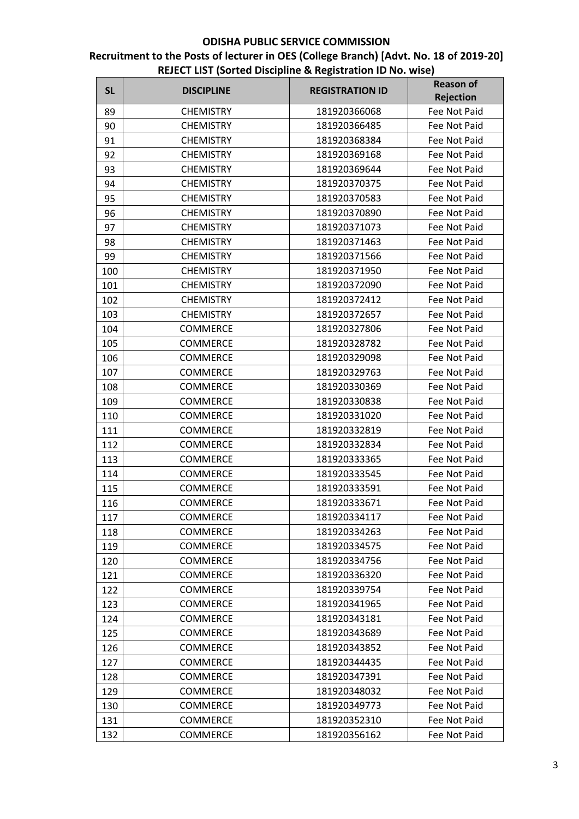| <b>SL</b> | <b>DISCIPLINE</b> | <b>REGISTRATION ID</b> | <b>Reason of</b>    |
|-----------|-------------------|------------------------|---------------------|
|           |                   |                        | Rejection           |
| 89        | <b>CHEMISTRY</b>  | 181920366068           | Fee Not Paid        |
| 90        | <b>CHEMISTRY</b>  | 181920366485           | Fee Not Paid        |
| 91        | <b>CHEMISTRY</b>  | 181920368384           | Fee Not Paid        |
| 92        | <b>CHEMISTRY</b>  | 181920369168           | Fee Not Paid        |
| 93        | <b>CHEMISTRY</b>  | 181920369644           | Fee Not Paid        |
| 94        | <b>CHEMISTRY</b>  | 181920370375           | Fee Not Paid        |
| 95        | <b>CHEMISTRY</b>  | 181920370583           | Fee Not Paid        |
| 96        | <b>CHEMISTRY</b>  | 181920370890           | Fee Not Paid        |
| 97        | <b>CHEMISTRY</b>  | 181920371073           | Fee Not Paid        |
| 98        | <b>CHEMISTRY</b>  | 181920371463           | Fee Not Paid        |
| 99        | <b>CHEMISTRY</b>  | 181920371566           | Fee Not Paid        |
| 100       | <b>CHEMISTRY</b>  | 181920371950           | Fee Not Paid        |
| 101       | <b>CHEMISTRY</b>  | 181920372090           | Fee Not Paid        |
| 102       | <b>CHEMISTRY</b>  | 181920372412           | Fee Not Paid        |
| 103       | <b>CHEMISTRY</b>  | 181920372657           | <b>Fee Not Paid</b> |
| 104       | <b>COMMERCE</b>   | 181920327806           | Fee Not Paid        |
| 105       | <b>COMMERCE</b>   | 181920328782           | Fee Not Paid        |
| 106       | <b>COMMERCE</b>   | 181920329098           | Fee Not Paid        |
| 107       | <b>COMMERCE</b>   | 181920329763           | Fee Not Paid        |
| 108       | <b>COMMERCE</b>   | 181920330369           | Fee Not Paid        |
| 109       | <b>COMMERCE</b>   | 181920330838           | Fee Not Paid        |
| 110       | COMMERCE          | 181920331020           | Fee Not Paid        |
| 111       | <b>COMMERCE</b>   | 181920332819           | Fee Not Paid        |
| 112       | COMMERCE          | 181920332834           | Fee Not Paid        |
| 113       | <b>COMMERCE</b>   | 181920333365           | Fee Not Paid        |
| 114       | COMMERCE          | 181920333545           | Fee Not Paid        |
| 115       | <b>COMMERCE</b>   | 181920333591           | Fee Not Paid        |
| 116       | <b>COMMERCE</b>   | 181920333671           | Fee Not Paid        |
| 117       | <b>COMMERCE</b>   | 181920334117           | Fee Not Paid        |
| 118       | <b>COMMERCE</b>   | 181920334263           | Fee Not Paid        |
| 119       | <b>COMMERCE</b>   | 181920334575           | Fee Not Paid        |
| 120       | COMMERCE          | 181920334756           | Fee Not Paid        |
| 121       | COMMERCE          | 181920336320           | Fee Not Paid        |
| 122       | <b>COMMERCE</b>   | 181920339754           | Fee Not Paid        |
| 123       | <b>COMMERCE</b>   | 181920341965           | Fee Not Paid        |
| 124       | COMMERCE          | 181920343181           | Fee Not Paid        |
| 125       | COMMERCE          | 181920343689           | Fee Not Paid        |
| 126       | <b>COMMERCE</b>   | 181920343852           | Fee Not Paid        |
| 127       | <b>COMMERCE</b>   | 181920344435           | Fee Not Paid        |
| 128       | COMMERCE          | 181920347391           | Fee Not Paid        |
| 129       | <b>COMMERCE</b>   | 181920348032           | Fee Not Paid        |
| 130       | COMMERCE          | 181920349773           | Fee Not Paid        |
| 131       | COMMERCE          | 181920352310           | Fee Not Paid        |
| 132       | COMMERCE          | 181920356162           | Fee Not Paid        |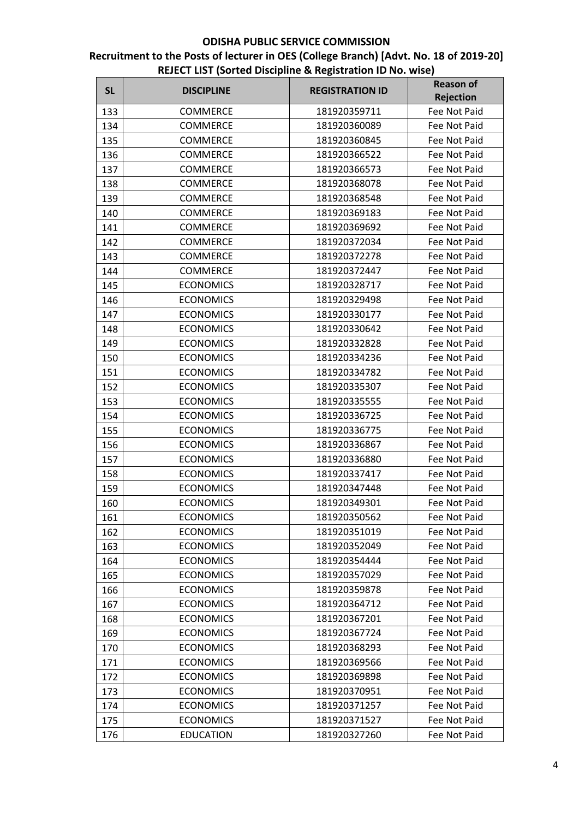| <b>SL</b> | <b>DISCIPLINE</b> | <b>REGISTRATION ID</b> | <b>Reason of</b> |
|-----------|-------------------|------------------------|------------------|
|           |                   |                        | <b>Rejection</b> |
| 133       | <b>COMMERCE</b>   | 181920359711           | Fee Not Paid     |
| 134       | <b>COMMERCE</b>   | 181920360089           | Fee Not Paid     |
| 135       | <b>COMMERCE</b>   | 181920360845           | Fee Not Paid     |
| 136       | <b>COMMERCE</b>   | 181920366522           | Fee Not Paid     |
| 137       | COMMERCE          | 181920366573           | Fee Not Paid     |
| 138       | <b>COMMERCE</b>   | 181920368078           | Fee Not Paid     |
| 139       | <b>COMMERCE</b>   | 181920368548           | Fee Not Paid     |
| 140       | <b>COMMERCE</b>   | 181920369183           | Fee Not Paid     |
| 141       | <b>COMMERCE</b>   | 181920369692           | Fee Not Paid     |
| 142       | <b>COMMERCE</b>   | 181920372034           | Fee Not Paid     |
| 143       | <b>COMMERCE</b>   | 181920372278           | Fee Not Paid     |
| 144       | <b>COMMERCE</b>   | 181920372447           | Fee Not Paid     |
| 145       | <b>ECONOMICS</b>  | 181920328717           | Fee Not Paid     |
| 146       | <b>ECONOMICS</b>  | 181920329498           | Fee Not Paid     |
| 147       | <b>ECONOMICS</b>  | 181920330177           | Fee Not Paid     |
| 148       | <b>ECONOMICS</b>  | 181920330642           | Fee Not Paid     |
| 149       | <b>ECONOMICS</b>  | 181920332828           | Fee Not Paid     |
| 150       | <b>ECONOMICS</b>  | 181920334236           | Fee Not Paid     |
| 151       | <b>ECONOMICS</b>  | 181920334782           | Fee Not Paid     |
| 152       | <b>ECONOMICS</b>  | 181920335307           | Fee Not Paid     |
| 153       | <b>ECONOMICS</b>  | 181920335555           | Fee Not Paid     |
| 154       | <b>ECONOMICS</b>  | 181920336725           | Fee Not Paid     |
| 155       | <b>ECONOMICS</b>  | 181920336775           | Fee Not Paid     |
| 156       | <b>ECONOMICS</b>  | 181920336867           | Fee Not Paid     |
| 157       | <b>ECONOMICS</b>  | 181920336880           | Fee Not Paid     |
| 158       | <b>ECONOMICS</b>  | 181920337417           | Fee Not Paid     |
| 159       | <b>ECONOMICS</b>  | 181920347448           | Fee Not Paid     |
| 160       | <b>ECONOMICS</b>  | 181920349301           | Fee Not Paid     |
| 161       | <b>ECONOMICS</b>  | 181920350562           | Fee Not Paid     |
| 162       | <b>ECONOMICS</b>  | 181920351019           | Fee Not Paid     |
| 163       | <b>ECONOMICS</b>  | 181920352049           | Fee Not Paid     |
| 164       | <b>ECONOMICS</b>  | 181920354444           | Fee Not Paid     |
| 165       | <b>ECONOMICS</b>  | 181920357029           | Fee Not Paid     |
| 166       | <b>ECONOMICS</b>  | 181920359878           | Fee Not Paid     |
| 167       | <b>ECONOMICS</b>  | 181920364712           | Fee Not Paid     |
| 168       | <b>ECONOMICS</b>  | 181920367201           | Fee Not Paid     |
| 169       | <b>ECONOMICS</b>  | 181920367724           | Fee Not Paid     |
| 170       | <b>ECONOMICS</b>  | 181920368293           | Fee Not Paid     |
| 171       | <b>ECONOMICS</b>  | 181920369566           | Fee Not Paid     |
| 172       | <b>ECONOMICS</b>  | 181920369898           | Fee Not Paid     |
| 173       | <b>ECONOMICS</b>  | 181920370951           | Fee Not Paid     |
| 174       | <b>ECONOMICS</b>  | 181920371257           | Fee Not Paid     |
| 175       | <b>ECONOMICS</b>  | 181920371527           | Fee Not Paid     |
| 176       | <b>EDUCATION</b>  | 181920327260           | Fee Not Paid     |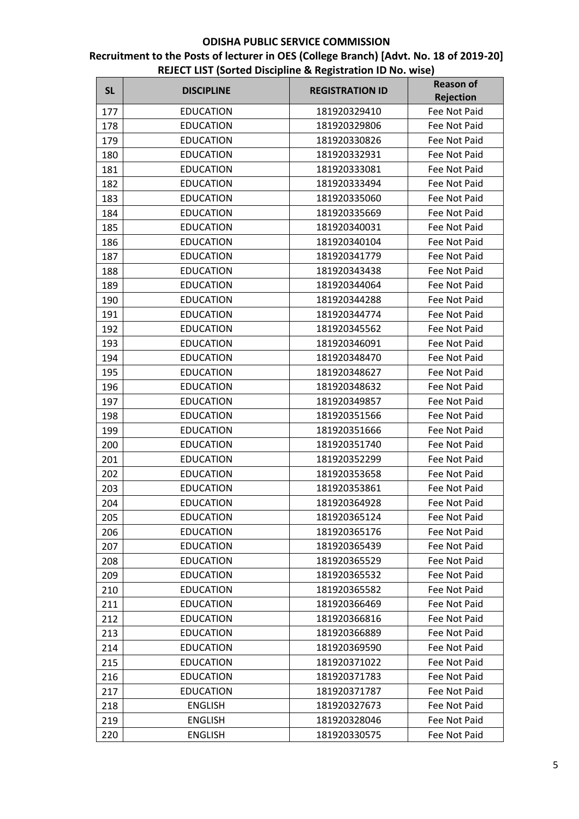| <b>Rejection</b><br>177<br><b>EDUCATION</b><br>181920329410<br>Fee Not Paid<br><b>EDUCATION</b><br>181920329806<br>Fee Not Paid<br>178<br><b>EDUCATION</b><br>181920330826<br>Fee Not Paid<br>179<br><b>EDUCATION</b><br>181920332931<br>180<br>Fee Not Paid<br><b>EDUCATION</b><br>181920333081<br>181<br>Fee Not Paid<br><b>EDUCATION</b><br>181920333494<br>Fee Not Paid<br>182<br><b>EDUCATION</b><br>181920335060<br>Fee Not Paid<br>183<br><b>EDUCATION</b><br>Fee Not Paid<br>181920335669<br>184<br>185<br><b>EDUCATION</b><br>181920340031<br>Fee Not Paid<br><b>EDUCATION</b><br>181920340104<br>Fee Not Paid<br>186<br><b>EDUCATION</b><br>181920341779<br>Fee Not Paid<br>187<br><b>EDUCATION</b><br>Fee Not Paid<br>188<br>181920343438<br><b>EDUCATION</b><br>181920344064<br>Fee Not Paid<br>189<br><b>EDUCATION</b><br>181920344288<br>Fee Not Paid<br>190<br><b>EDUCATION</b><br>181920344774<br><b>Fee Not Paid</b><br>191<br><b>EDUCATION</b><br>Fee Not Paid<br>192<br>181920345562<br><b>EDUCATION</b><br>181920346091<br>Fee Not Paid<br>193<br><b>EDUCATION</b><br>181920348470<br>194<br>Fee Not Paid<br><b>EDUCATION</b><br>181920348627<br>Fee Not Paid<br>195<br><b>EDUCATION</b><br>181920348632<br>Fee Not Paid<br>196<br><b>EDUCATION</b><br>181920349857<br>Fee Not Paid<br>197<br><b>EDUCATION</b><br>181920351566<br>Fee Not Paid<br>198<br><b>EDUCATION</b><br>181920351666<br>Fee Not Paid<br>199<br><b>EDUCATION</b><br>181920351740<br>200<br>Fee Not Paid<br><b>EDUCATION</b><br>181920352299<br>Fee Not Paid<br>201<br>181920353658<br>202<br><b>EDUCATION</b><br>Fee Not Paid<br><b>EDUCATION</b><br>181920353861<br>Fee Not Paid<br>203<br><b>EDUCATION</b><br>181920364928<br>Fee Not Paid<br>204<br><b>EDUCATION</b><br>205<br>181920365124<br>Fee Not Paid<br><b>EDUCATION</b><br>181920365176<br>Fee Not Paid<br>206<br><b>EDUCATION</b><br>181920365439<br>Fee Not Paid<br>207<br><b>EDUCATION</b><br>181920365529<br>Fee Not Paid<br>208<br><b>EDUCATION</b><br>181920365532<br>Fee Not Paid<br>209<br><b>EDUCATION</b><br>181920365582<br>Fee Not Paid<br>210<br><b>EDUCATION</b><br>181920366469<br>Fee Not Paid<br>211<br><b>EDUCATION</b><br>212<br>181920366816<br>Fee Not Paid<br><b>EDUCATION</b><br>181920366889<br>213<br>Fee Not Paid<br><b>EDUCATION</b><br>181920369590<br>214<br>Fee Not Paid<br><b>EDUCATION</b><br>181920371022<br>215<br>Fee Not Paid<br><b>EDUCATION</b><br>181920371783<br>Fee Not Paid<br>216<br><b>EDUCATION</b><br>Fee Not Paid<br>217<br>181920371787<br><b>ENGLISH</b><br>181920327673<br>Fee Not Paid<br>218<br><b>ENGLISH</b><br>181920328046<br>Fee Not Paid<br>219<br><b>ENGLISH</b><br>Fee Not Paid<br>181920330575<br>220 | <b>SL</b> | <b>DISCIPLINE</b> | <b>REGISTRATION ID</b> | <b>Reason of</b> |
|-----------------------------------------------------------------------------------------------------------------------------------------------------------------------------------------------------------------------------------------------------------------------------------------------------------------------------------------------------------------------------------------------------------------------------------------------------------------------------------------------------------------------------------------------------------------------------------------------------------------------------------------------------------------------------------------------------------------------------------------------------------------------------------------------------------------------------------------------------------------------------------------------------------------------------------------------------------------------------------------------------------------------------------------------------------------------------------------------------------------------------------------------------------------------------------------------------------------------------------------------------------------------------------------------------------------------------------------------------------------------------------------------------------------------------------------------------------------------------------------------------------------------------------------------------------------------------------------------------------------------------------------------------------------------------------------------------------------------------------------------------------------------------------------------------------------------------------------------------------------------------------------------------------------------------------------------------------------------------------------------------------------------------------------------------------------------------------------------------------------------------------------------------------------------------------------------------------------------------------------------------------------------------------------------------------------------------------------------------------------------------------------------------------------------------------------------------------------------------------------------------------------------------------------------------------------------------------------------------------------------------------------------------------------------------------------------------------------------|-----------|-------------------|------------------------|------------------|
|                                                                                                                                                                                                                                                                                                                                                                                                                                                                                                                                                                                                                                                                                                                                                                                                                                                                                                                                                                                                                                                                                                                                                                                                                                                                                                                                                                                                                                                                                                                                                                                                                                                                                                                                                                                                                                                                                                                                                                                                                                                                                                                                                                                                                                                                                                                                                                                                                                                                                                                                                                                                                                                                                                                       |           |                   |                        |                  |
|                                                                                                                                                                                                                                                                                                                                                                                                                                                                                                                                                                                                                                                                                                                                                                                                                                                                                                                                                                                                                                                                                                                                                                                                                                                                                                                                                                                                                                                                                                                                                                                                                                                                                                                                                                                                                                                                                                                                                                                                                                                                                                                                                                                                                                                                                                                                                                                                                                                                                                                                                                                                                                                                                                                       |           |                   |                        |                  |
|                                                                                                                                                                                                                                                                                                                                                                                                                                                                                                                                                                                                                                                                                                                                                                                                                                                                                                                                                                                                                                                                                                                                                                                                                                                                                                                                                                                                                                                                                                                                                                                                                                                                                                                                                                                                                                                                                                                                                                                                                                                                                                                                                                                                                                                                                                                                                                                                                                                                                                                                                                                                                                                                                                                       |           |                   |                        |                  |
|                                                                                                                                                                                                                                                                                                                                                                                                                                                                                                                                                                                                                                                                                                                                                                                                                                                                                                                                                                                                                                                                                                                                                                                                                                                                                                                                                                                                                                                                                                                                                                                                                                                                                                                                                                                                                                                                                                                                                                                                                                                                                                                                                                                                                                                                                                                                                                                                                                                                                                                                                                                                                                                                                                                       |           |                   |                        |                  |
|                                                                                                                                                                                                                                                                                                                                                                                                                                                                                                                                                                                                                                                                                                                                                                                                                                                                                                                                                                                                                                                                                                                                                                                                                                                                                                                                                                                                                                                                                                                                                                                                                                                                                                                                                                                                                                                                                                                                                                                                                                                                                                                                                                                                                                                                                                                                                                                                                                                                                                                                                                                                                                                                                                                       |           |                   |                        |                  |
|                                                                                                                                                                                                                                                                                                                                                                                                                                                                                                                                                                                                                                                                                                                                                                                                                                                                                                                                                                                                                                                                                                                                                                                                                                                                                                                                                                                                                                                                                                                                                                                                                                                                                                                                                                                                                                                                                                                                                                                                                                                                                                                                                                                                                                                                                                                                                                                                                                                                                                                                                                                                                                                                                                                       |           |                   |                        |                  |
|                                                                                                                                                                                                                                                                                                                                                                                                                                                                                                                                                                                                                                                                                                                                                                                                                                                                                                                                                                                                                                                                                                                                                                                                                                                                                                                                                                                                                                                                                                                                                                                                                                                                                                                                                                                                                                                                                                                                                                                                                                                                                                                                                                                                                                                                                                                                                                                                                                                                                                                                                                                                                                                                                                                       |           |                   |                        |                  |
|                                                                                                                                                                                                                                                                                                                                                                                                                                                                                                                                                                                                                                                                                                                                                                                                                                                                                                                                                                                                                                                                                                                                                                                                                                                                                                                                                                                                                                                                                                                                                                                                                                                                                                                                                                                                                                                                                                                                                                                                                                                                                                                                                                                                                                                                                                                                                                                                                                                                                                                                                                                                                                                                                                                       |           |                   |                        |                  |
|                                                                                                                                                                                                                                                                                                                                                                                                                                                                                                                                                                                                                                                                                                                                                                                                                                                                                                                                                                                                                                                                                                                                                                                                                                                                                                                                                                                                                                                                                                                                                                                                                                                                                                                                                                                                                                                                                                                                                                                                                                                                                                                                                                                                                                                                                                                                                                                                                                                                                                                                                                                                                                                                                                                       |           |                   |                        |                  |
|                                                                                                                                                                                                                                                                                                                                                                                                                                                                                                                                                                                                                                                                                                                                                                                                                                                                                                                                                                                                                                                                                                                                                                                                                                                                                                                                                                                                                                                                                                                                                                                                                                                                                                                                                                                                                                                                                                                                                                                                                                                                                                                                                                                                                                                                                                                                                                                                                                                                                                                                                                                                                                                                                                                       |           |                   |                        |                  |
|                                                                                                                                                                                                                                                                                                                                                                                                                                                                                                                                                                                                                                                                                                                                                                                                                                                                                                                                                                                                                                                                                                                                                                                                                                                                                                                                                                                                                                                                                                                                                                                                                                                                                                                                                                                                                                                                                                                                                                                                                                                                                                                                                                                                                                                                                                                                                                                                                                                                                                                                                                                                                                                                                                                       |           |                   |                        |                  |
|                                                                                                                                                                                                                                                                                                                                                                                                                                                                                                                                                                                                                                                                                                                                                                                                                                                                                                                                                                                                                                                                                                                                                                                                                                                                                                                                                                                                                                                                                                                                                                                                                                                                                                                                                                                                                                                                                                                                                                                                                                                                                                                                                                                                                                                                                                                                                                                                                                                                                                                                                                                                                                                                                                                       |           |                   |                        |                  |
|                                                                                                                                                                                                                                                                                                                                                                                                                                                                                                                                                                                                                                                                                                                                                                                                                                                                                                                                                                                                                                                                                                                                                                                                                                                                                                                                                                                                                                                                                                                                                                                                                                                                                                                                                                                                                                                                                                                                                                                                                                                                                                                                                                                                                                                                                                                                                                                                                                                                                                                                                                                                                                                                                                                       |           |                   |                        |                  |
|                                                                                                                                                                                                                                                                                                                                                                                                                                                                                                                                                                                                                                                                                                                                                                                                                                                                                                                                                                                                                                                                                                                                                                                                                                                                                                                                                                                                                                                                                                                                                                                                                                                                                                                                                                                                                                                                                                                                                                                                                                                                                                                                                                                                                                                                                                                                                                                                                                                                                                                                                                                                                                                                                                                       |           |                   |                        |                  |
|                                                                                                                                                                                                                                                                                                                                                                                                                                                                                                                                                                                                                                                                                                                                                                                                                                                                                                                                                                                                                                                                                                                                                                                                                                                                                                                                                                                                                                                                                                                                                                                                                                                                                                                                                                                                                                                                                                                                                                                                                                                                                                                                                                                                                                                                                                                                                                                                                                                                                                                                                                                                                                                                                                                       |           |                   |                        |                  |
|                                                                                                                                                                                                                                                                                                                                                                                                                                                                                                                                                                                                                                                                                                                                                                                                                                                                                                                                                                                                                                                                                                                                                                                                                                                                                                                                                                                                                                                                                                                                                                                                                                                                                                                                                                                                                                                                                                                                                                                                                                                                                                                                                                                                                                                                                                                                                                                                                                                                                                                                                                                                                                                                                                                       |           |                   |                        |                  |
|                                                                                                                                                                                                                                                                                                                                                                                                                                                                                                                                                                                                                                                                                                                                                                                                                                                                                                                                                                                                                                                                                                                                                                                                                                                                                                                                                                                                                                                                                                                                                                                                                                                                                                                                                                                                                                                                                                                                                                                                                                                                                                                                                                                                                                                                                                                                                                                                                                                                                                                                                                                                                                                                                                                       |           |                   |                        |                  |
|                                                                                                                                                                                                                                                                                                                                                                                                                                                                                                                                                                                                                                                                                                                                                                                                                                                                                                                                                                                                                                                                                                                                                                                                                                                                                                                                                                                                                                                                                                                                                                                                                                                                                                                                                                                                                                                                                                                                                                                                                                                                                                                                                                                                                                                                                                                                                                                                                                                                                                                                                                                                                                                                                                                       |           |                   |                        |                  |
|                                                                                                                                                                                                                                                                                                                                                                                                                                                                                                                                                                                                                                                                                                                                                                                                                                                                                                                                                                                                                                                                                                                                                                                                                                                                                                                                                                                                                                                                                                                                                                                                                                                                                                                                                                                                                                                                                                                                                                                                                                                                                                                                                                                                                                                                                                                                                                                                                                                                                                                                                                                                                                                                                                                       |           |                   |                        |                  |
|                                                                                                                                                                                                                                                                                                                                                                                                                                                                                                                                                                                                                                                                                                                                                                                                                                                                                                                                                                                                                                                                                                                                                                                                                                                                                                                                                                                                                                                                                                                                                                                                                                                                                                                                                                                                                                                                                                                                                                                                                                                                                                                                                                                                                                                                                                                                                                                                                                                                                                                                                                                                                                                                                                                       |           |                   |                        |                  |
|                                                                                                                                                                                                                                                                                                                                                                                                                                                                                                                                                                                                                                                                                                                                                                                                                                                                                                                                                                                                                                                                                                                                                                                                                                                                                                                                                                                                                                                                                                                                                                                                                                                                                                                                                                                                                                                                                                                                                                                                                                                                                                                                                                                                                                                                                                                                                                                                                                                                                                                                                                                                                                                                                                                       |           |                   |                        |                  |
|                                                                                                                                                                                                                                                                                                                                                                                                                                                                                                                                                                                                                                                                                                                                                                                                                                                                                                                                                                                                                                                                                                                                                                                                                                                                                                                                                                                                                                                                                                                                                                                                                                                                                                                                                                                                                                                                                                                                                                                                                                                                                                                                                                                                                                                                                                                                                                                                                                                                                                                                                                                                                                                                                                                       |           |                   |                        |                  |
|                                                                                                                                                                                                                                                                                                                                                                                                                                                                                                                                                                                                                                                                                                                                                                                                                                                                                                                                                                                                                                                                                                                                                                                                                                                                                                                                                                                                                                                                                                                                                                                                                                                                                                                                                                                                                                                                                                                                                                                                                                                                                                                                                                                                                                                                                                                                                                                                                                                                                                                                                                                                                                                                                                                       |           |                   |                        |                  |
|                                                                                                                                                                                                                                                                                                                                                                                                                                                                                                                                                                                                                                                                                                                                                                                                                                                                                                                                                                                                                                                                                                                                                                                                                                                                                                                                                                                                                                                                                                                                                                                                                                                                                                                                                                                                                                                                                                                                                                                                                                                                                                                                                                                                                                                                                                                                                                                                                                                                                                                                                                                                                                                                                                                       |           |                   |                        |                  |
|                                                                                                                                                                                                                                                                                                                                                                                                                                                                                                                                                                                                                                                                                                                                                                                                                                                                                                                                                                                                                                                                                                                                                                                                                                                                                                                                                                                                                                                                                                                                                                                                                                                                                                                                                                                                                                                                                                                                                                                                                                                                                                                                                                                                                                                                                                                                                                                                                                                                                                                                                                                                                                                                                                                       |           |                   |                        |                  |
|                                                                                                                                                                                                                                                                                                                                                                                                                                                                                                                                                                                                                                                                                                                                                                                                                                                                                                                                                                                                                                                                                                                                                                                                                                                                                                                                                                                                                                                                                                                                                                                                                                                                                                                                                                                                                                                                                                                                                                                                                                                                                                                                                                                                                                                                                                                                                                                                                                                                                                                                                                                                                                                                                                                       |           |                   |                        |                  |
|                                                                                                                                                                                                                                                                                                                                                                                                                                                                                                                                                                                                                                                                                                                                                                                                                                                                                                                                                                                                                                                                                                                                                                                                                                                                                                                                                                                                                                                                                                                                                                                                                                                                                                                                                                                                                                                                                                                                                                                                                                                                                                                                                                                                                                                                                                                                                                                                                                                                                                                                                                                                                                                                                                                       |           |                   |                        |                  |
|                                                                                                                                                                                                                                                                                                                                                                                                                                                                                                                                                                                                                                                                                                                                                                                                                                                                                                                                                                                                                                                                                                                                                                                                                                                                                                                                                                                                                                                                                                                                                                                                                                                                                                                                                                                                                                                                                                                                                                                                                                                                                                                                                                                                                                                                                                                                                                                                                                                                                                                                                                                                                                                                                                                       |           |                   |                        |                  |
|                                                                                                                                                                                                                                                                                                                                                                                                                                                                                                                                                                                                                                                                                                                                                                                                                                                                                                                                                                                                                                                                                                                                                                                                                                                                                                                                                                                                                                                                                                                                                                                                                                                                                                                                                                                                                                                                                                                                                                                                                                                                                                                                                                                                                                                                                                                                                                                                                                                                                                                                                                                                                                                                                                                       |           |                   |                        |                  |
|                                                                                                                                                                                                                                                                                                                                                                                                                                                                                                                                                                                                                                                                                                                                                                                                                                                                                                                                                                                                                                                                                                                                                                                                                                                                                                                                                                                                                                                                                                                                                                                                                                                                                                                                                                                                                                                                                                                                                                                                                                                                                                                                                                                                                                                                                                                                                                                                                                                                                                                                                                                                                                                                                                                       |           |                   |                        |                  |
|                                                                                                                                                                                                                                                                                                                                                                                                                                                                                                                                                                                                                                                                                                                                                                                                                                                                                                                                                                                                                                                                                                                                                                                                                                                                                                                                                                                                                                                                                                                                                                                                                                                                                                                                                                                                                                                                                                                                                                                                                                                                                                                                                                                                                                                                                                                                                                                                                                                                                                                                                                                                                                                                                                                       |           |                   |                        |                  |
|                                                                                                                                                                                                                                                                                                                                                                                                                                                                                                                                                                                                                                                                                                                                                                                                                                                                                                                                                                                                                                                                                                                                                                                                                                                                                                                                                                                                                                                                                                                                                                                                                                                                                                                                                                                                                                                                                                                                                                                                                                                                                                                                                                                                                                                                                                                                                                                                                                                                                                                                                                                                                                                                                                                       |           |                   |                        |                  |
|                                                                                                                                                                                                                                                                                                                                                                                                                                                                                                                                                                                                                                                                                                                                                                                                                                                                                                                                                                                                                                                                                                                                                                                                                                                                                                                                                                                                                                                                                                                                                                                                                                                                                                                                                                                                                                                                                                                                                                                                                                                                                                                                                                                                                                                                                                                                                                                                                                                                                                                                                                                                                                                                                                                       |           |                   |                        |                  |
|                                                                                                                                                                                                                                                                                                                                                                                                                                                                                                                                                                                                                                                                                                                                                                                                                                                                                                                                                                                                                                                                                                                                                                                                                                                                                                                                                                                                                                                                                                                                                                                                                                                                                                                                                                                                                                                                                                                                                                                                                                                                                                                                                                                                                                                                                                                                                                                                                                                                                                                                                                                                                                                                                                                       |           |                   |                        |                  |
|                                                                                                                                                                                                                                                                                                                                                                                                                                                                                                                                                                                                                                                                                                                                                                                                                                                                                                                                                                                                                                                                                                                                                                                                                                                                                                                                                                                                                                                                                                                                                                                                                                                                                                                                                                                                                                                                                                                                                                                                                                                                                                                                                                                                                                                                                                                                                                                                                                                                                                                                                                                                                                                                                                                       |           |                   |                        |                  |
|                                                                                                                                                                                                                                                                                                                                                                                                                                                                                                                                                                                                                                                                                                                                                                                                                                                                                                                                                                                                                                                                                                                                                                                                                                                                                                                                                                                                                                                                                                                                                                                                                                                                                                                                                                                                                                                                                                                                                                                                                                                                                                                                                                                                                                                                                                                                                                                                                                                                                                                                                                                                                                                                                                                       |           |                   |                        |                  |
|                                                                                                                                                                                                                                                                                                                                                                                                                                                                                                                                                                                                                                                                                                                                                                                                                                                                                                                                                                                                                                                                                                                                                                                                                                                                                                                                                                                                                                                                                                                                                                                                                                                                                                                                                                                                                                                                                                                                                                                                                                                                                                                                                                                                                                                                                                                                                                                                                                                                                                                                                                                                                                                                                                                       |           |                   |                        |                  |
|                                                                                                                                                                                                                                                                                                                                                                                                                                                                                                                                                                                                                                                                                                                                                                                                                                                                                                                                                                                                                                                                                                                                                                                                                                                                                                                                                                                                                                                                                                                                                                                                                                                                                                                                                                                                                                                                                                                                                                                                                                                                                                                                                                                                                                                                                                                                                                                                                                                                                                                                                                                                                                                                                                                       |           |                   |                        |                  |
|                                                                                                                                                                                                                                                                                                                                                                                                                                                                                                                                                                                                                                                                                                                                                                                                                                                                                                                                                                                                                                                                                                                                                                                                                                                                                                                                                                                                                                                                                                                                                                                                                                                                                                                                                                                                                                                                                                                                                                                                                                                                                                                                                                                                                                                                                                                                                                                                                                                                                                                                                                                                                                                                                                                       |           |                   |                        |                  |
|                                                                                                                                                                                                                                                                                                                                                                                                                                                                                                                                                                                                                                                                                                                                                                                                                                                                                                                                                                                                                                                                                                                                                                                                                                                                                                                                                                                                                                                                                                                                                                                                                                                                                                                                                                                                                                                                                                                                                                                                                                                                                                                                                                                                                                                                                                                                                                                                                                                                                                                                                                                                                                                                                                                       |           |                   |                        |                  |
|                                                                                                                                                                                                                                                                                                                                                                                                                                                                                                                                                                                                                                                                                                                                                                                                                                                                                                                                                                                                                                                                                                                                                                                                                                                                                                                                                                                                                                                                                                                                                                                                                                                                                                                                                                                                                                                                                                                                                                                                                                                                                                                                                                                                                                                                                                                                                                                                                                                                                                                                                                                                                                                                                                                       |           |                   |                        |                  |
|                                                                                                                                                                                                                                                                                                                                                                                                                                                                                                                                                                                                                                                                                                                                                                                                                                                                                                                                                                                                                                                                                                                                                                                                                                                                                                                                                                                                                                                                                                                                                                                                                                                                                                                                                                                                                                                                                                                                                                                                                                                                                                                                                                                                                                                                                                                                                                                                                                                                                                                                                                                                                                                                                                                       |           |                   |                        |                  |
|                                                                                                                                                                                                                                                                                                                                                                                                                                                                                                                                                                                                                                                                                                                                                                                                                                                                                                                                                                                                                                                                                                                                                                                                                                                                                                                                                                                                                                                                                                                                                                                                                                                                                                                                                                                                                                                                                                                                                                                                                                                                                                                                                                                                                                                                                                                                                                                                                                                                                                                                                                                                                                                                                                                       |           |                   |                        |                  |
|                                                                                                                                                                                                                                                                                                                                                                                                                                                                                                                                                                                                                                                                                                                                                                                                                                                                                                                                                                                                                                                                                                                                                                                                                                                                                                                                                                                                                                                                                                                                                                                                                                                                                                                                                                                                                                                                                                                                                                                                                                                                                                                                                                                                                                                                                                                                                                                                                                                                                                                                                                                                                                                                                                                       |           |                   |                        |                  |
|                                                                                                                                                                                                                                                                                                                                                                                                                                                                                                                                                                                                                                                                                                                                                                                                                                                                                                                                                                                                                                                                                                                                                                                                                                                                                                                                                                                                                                                                                                                                                                                                                                                                                                                                                                                                                                                                                                                                                                                                                                                                                                                                                                                                                                                                                                                                                                                                                                                                                                                                                                                                                                                                                                                       |           |                   |                        |                  |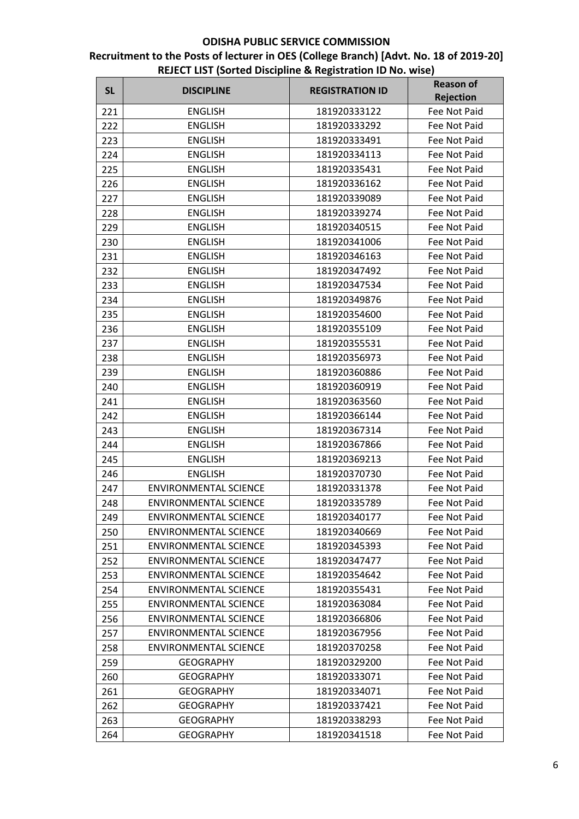| <b>SL</b> | <b>DISCIPLINE</b>            | <b>REGISTRATION ID</b> | <b>Reason of</b>                 |
|-----------|------------------------------|------------------------|----------------------------------|
| 221       | <b>ENGLISH</b>               | 181920333122           | <b>Rejection</b><br>Fee Not Paid |
| 222       | <b>ENGLISH</b>               | 181920333292           | Fee Not Paid                     |
| 223       | <b>ENGLISH</b>               | 181920333491           | Fee Not Paid                     |
| 224       | <b>ENGLISH</b>               | 181920334113           | Fee Not Paid                     |
| 225       | <b>ENGLISH</b>               | 181920335431           | Fee Not Paid                     |
| 226       | <b>ENGLISH</b>               | 181920336162           | Fee Not Paid                     |
| 227       | <b>ENGLISH</b>               | 181920339089           | Fee Not Paid                     |
| 228       | <b>ENGLISH</b>               | 181920339274           | Fee Not Paid                     |
| 229       | <b>ENGLISH</b>               | 181920340515           | Fee Not Paid                     |
| 230       | <b>ENGLISH</b>               | 181920341006           | Fee Not Paid                     |
| 231       | <b>ENGLISH</b>               | 181920346163           | Fee Not Paid                     |
| 232       | <b>ENGLISH</b>               | 181920347492           | Fee Not Paid                     |
| 233       | <b>ENGLISH</b>               | 181920347534           | Fee Not Paid                     |
| 234       | <b>ENGLISH</b>               | 181920349876           | Fee Not Paid                     |
| 235       | <b>ENGLISH</b>               | 181920354600           | Fee Not Paid                     |
| 236       | <b>ENGLISH</b>               | 181920355109           | Fee Not Paid                     |
| 237       | <b>ENGLISH</b>               | 181920355531           | Fee Not Paid                     |
| 238       | <b>ENGLISH</b>               | 181920356973           | Fee Not Paid                     |
| 239       | <b>ENGLISH</b>               | 181920360886           | Fee Not Paid                     |
| 240       | <b>ENGLISH</b>               | 181920360919           | Fee Not Paid                     |
| 241       | <b>ENGLISH</b>               | 181920363560           | Fee Not Paid                     |
| 242       | <b>ENGLISH</b>               | 181920366144           | Fee Not Paid                     |
| 243       | <b>ENGLISH</b>               | 181920367314           | Fee Not Paid                     |
| 244       | <b>ENGLISH</b>               | 181920367866           | Fee Not Paid                     |
| 245       | <b>ENGLISH</b>               | 181920369213           | Fee Not Paid                     |
| 246       | <b>ENGLISH</b>               | 181920370730           | Fee Not Paid                     |
| 247       | <b>ENVIRONMENTAL SCIENCE</b> | 181920331378           | Fee Not Paid                     |
| 248       | <b>ENVIRONMENTAL SCIENCE</b> | 181920335789           | Fee Not Paid                     |
| 249       | <b>ENVIRONMENTAL SCIENCE</b> | 181920340177           | Fee Not Paid                     |
| 250       | <b>ENVIRONMENTAL SCIENCE</b> | 181920340669           | Fee Not Paid                     |
| 251       | <b>ENVIRONMENTAL SCIENCE</b> | 181920345393           | Fee Not Paid                     |
| 252       | <b>ENVIRONMENTAL SCIENCE</b> | 181920347477           | Fee Not Paid                     |
| 253       | <b>ENVIRONMENTAL SCIENCE</b> | 181920354642           | Fee Not Paid                     |
| 254       | <b>ENVIRONMENTAL SCIENCE</b> | 181920355431           | Fee Not Paid                     |
| 255       | <b>ENVIRONMENTAL SCIENCE</b> | 181920363084           | Fee Not Paid                     |
| 256       | <b>ENVIRONMENTAL SCIENCE</b> | 181920366806           | Fee Not Paid                     |
| 257       | <b>ENVIRONMENTAL SCIENCE</b> | 181920367956           | Fee Not Paid                     |
| 258       | <b>ENVIRONMENTAL SCIENCE</b> | 181920370258           | Fee Not Paid                     |
| 259       | <b>GEOGRAPHY</b>             | 181920329200           | Fee Not Paid                     |
| 260       | <b>GEOGRAPHY</b>             | 181920333071           | Fee Not Paid                     |
| 261       | <b>GEOGRAPHY</b>             | 181920334071           | Fee Not Paid                     |
| 262       | <b>GEOGRAPHY</b>             | 181920337421           | Fee Not Paid                     |
| 263       | <b>GEOGRAPHY</b>             | 181920338293           | Fee Not Paid                     |
| 264       | <b>GEOGRAPHY</b>             | 181920341518           | Fee Not Paid                     |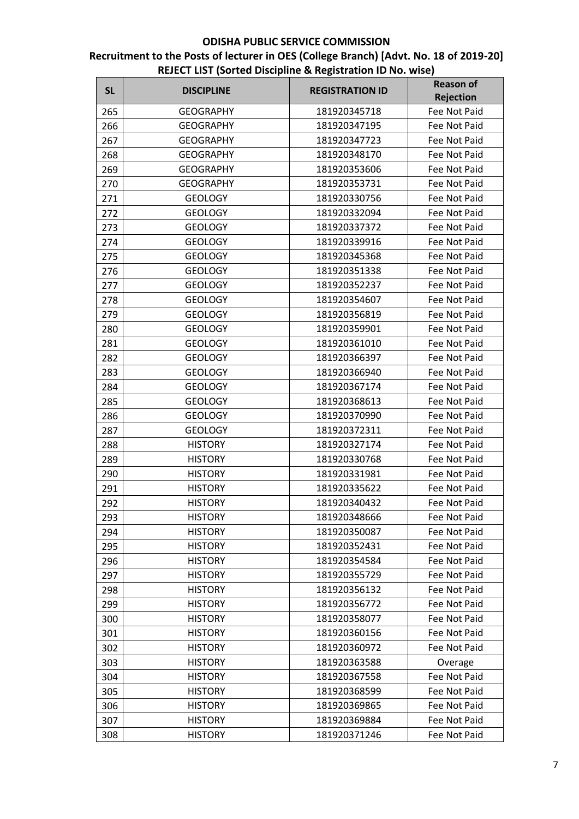| <b>SL</b> | <b>DISCIPLINE</b> | <b>REGISTRATION ID</b> | <b>Reason of</b><br><b>Rejection</b> |
|-----------|-------------------|------------------------|--------------------------------------|
| 265       | <b>GEOGRAPHY</b>  | 181920345718           | Fee Not Paid                         |
| 266       | <b>GEOGRAPHY</b>  | 181920347195           | Fee Not Paid                         |
| 267       | <b>GEOGRAPHY</b>  | 181920347723           | Fee Not Paid                         |
| 268       | <b>GEOGRAPHY</b>  | 181920348170           | Fee Not Paid                         |
| 269       | <b>GEOGRAPHY</b>  | 181920353606           | Fee Not Paid                         |
| 270       | <b>GEOGRAPHY</b>  | 181920353731           | <b>Fee Not Paid</b>                  |
| 271       | <b>GEOLOGY</b>    | 181920330756           | Fee Not Paid                         |
| 272       | <b>GEOLOGY</b>    | 181920332094           | Fee Not Paid                         |
| 273       | <b>GEOLOGY</b>    | 181920337372           | Fee Not Paid                         |
| 274       | <b>GEOLOGY</b>    | 181920339916           | Fee Not Paid                         |
| 275       | <b>GEOLOGY</b>    | 181920345368           | Fee Not Paid                         |
| 276       | <b>GEOLOGY</b>    | 181920351338           | Fee Not Paid                         |
| 277       | <b>GEOLOGY</b>    | 181920352237           | Fee Not Paid                         |
| 278       | <b>GEOLOGY</b>    | 181920354607           | Fee Not Paid                         |
| 279       | <b>GEOLOGY</b>    | 181920356819           | Fee Not Paid                         |
| 280       | <b>GEOLOGY</b>    | 181920359901           | Fee Not Paid                         |
| 281       | <b>GEOLOGY</b>    | 181920361010           | Fee Not Paid                         |
| 282       | <b>GEOLOGY</b>    | 181920366397           | Fee Not Paid                         |
| 283       | <b>GEOLOGY</b>    | 181920366940           | Fee Not Paid                         |
| 284       | <b>GEOLOGY</b>    | 181920367174           | Fee Not Paid                         |
| 285       | <b>GEOLOGY</b>    | 181920368613           | Fee Not Paid                         |
| 286       | <b>GEOLOGY</b>    | 181920370990           | Fee Not Paid                         |
| 287       | <b>GEOLOGY</b>    | 181920372311           | Fee Not Paid                         |
| 288       | <b>HISTORY</b>    | 181920327174           | Fee Not Paid                         |
| 289       | <b>HISTORY</b>    | 181920330768           | Fee Not Paid                         |
| 290       | <b>HISTORY</b>    | 181920331981           | Fee Not Paid                         |
| 291       | <b>HISTORY</b>    | 181920335622           | Fee Not Paid                         |
| 292       | <b>HISTORY</b>    | 181920340432           | Fee Not Paid                         |
| 293       | <b>HISTORY</b>    | 181920348666           | Fee Not Paid                         |
| 294       | <b>HISTORY</b>    | 181920350087           | Fee Not Paid                         |
| 295       | <b>HISTORY</b>    | 181920352431           | Fee Not Paid                         |
| 296       | <b>HISTORY</b>    | 181920354584           | Fee Not Paid                         |
| 297       | <b>HISTORY</b>    | 181920355729           | Fee Not Paid                         |
| 298       | <b>HISTORY</b>    | 181920356132           | Fee Not Paid                         |
| 299       | <b>HISTORY</b>    | 181920356772           | Fee Not Paid                         |
| 300       | <b>HISTORY</b>    | 181920358077           | Fee Not Paid                         |
| 301       | <b>HISTORY</b>    | 181920360156           | Fee Not Paid                         |
| 302       | <b>HISTORY</b>    | 181920360972           | Fee Not Paid                         |
| 303       | <b>HISTORY</b>    | 181920363588           | Overage                              |
| 304       | <b>HISTORY</b>    | 181920367558           | Fee Not Paid                         |
| 305       | <b>HISTORY</b>    | 181920368599           | Fee Not Paid                         |
| 306       | <b>HISTORY</b>    | 181920369865           | Fee Not Paid                         |
| 307       | <b>HISTORY</b>    | 181920369884           | Fee Not Paid                         |
| 308       | <b>HISTORY</b>    | 181920371246           | Fee Not Paid                         |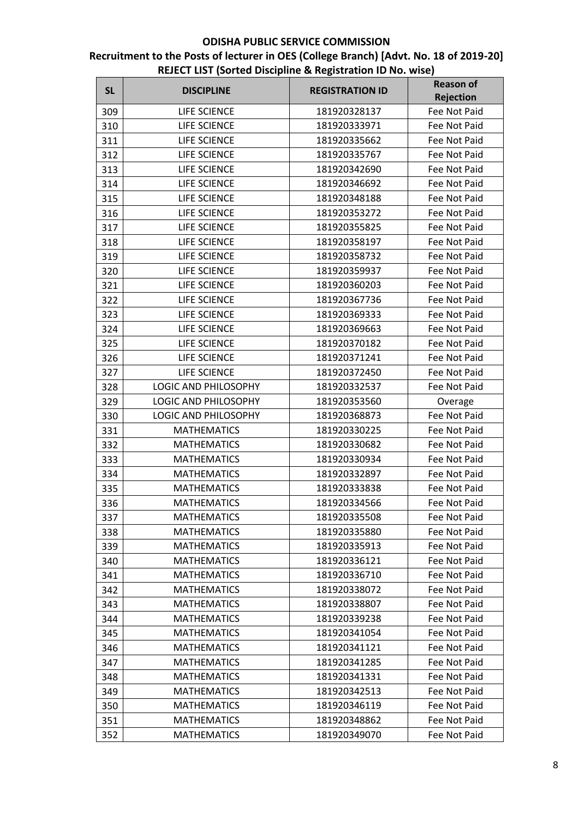| <b>Rejection</b><br>309<br>LIFE SCIENCE<br>181920328137<br>Fee Not Paid<br>LIFE SCIENCE<br>181920333971<br>310<br>Fee Not Paid<br>LIFE SCIENCE<br>181920335662<br>311<br>Fee Not Paid<br>312<br>LIFE SCIENCE<br>181920335767<br>Fee Not Paid<br>313<br>LIFE SCIENCE<br>181920342690<br>Fee Not Paid<br><b>LIFE SCIENCE</b><br>314<br>181920346692<br>Fee Not Paid<br><b>LIFE SCIENCE</b><br>181920348188<br>Fee Not Paid<br>315<br>316<br>LIFE SCIENCE<br>181920353272<br>Fee Not Paid<br>317<br><b>LIFE SCIENCE</b><br>181920355825<br>Fee Not Paid<br>318<br>LIFE SCIENCE<br>181920358197<br>Fee Not Paid<br>LIFE SCIENCE<br>181920358732<br>Fee Not Paid<br>319<br>320<br>LIFE SCIENCE<br>181920359937<br><b>Fee Not Paid</b><br>LIFE SCIENCE<br>321<br>181920360203<br>Fee Not Paid<br>LIFE SCIENCE<br>322<br>181920367736<br><b>Fee Not Paid</b><br>LIFE SCIENCE<br>323<br>181920369333<br>Fee Not Paid<br>324<br>LIFE SCIENCE<br>Fee Not Paid<br>181920369663<br>LIFE SCIENCE<br>325<br>181920370182<br>Fee Not Paid<br>LIFE SCIENCE<br>326<br>181920371241<br>Fee Not Paid<br>LIFE SCIENCE<br>181920372450<br>Fee Not Paid<br>327<br>LOGIC AND PHILOSOPHY<br>181920332537<br>Fee Not Paid<br>328<br>329<br>LOGIC AND PHILOSOPHY<br>181920353560<br>Overage<br>330<br>LOGIC AND PHILOSOPHY<br>181920368873<br>Fee Not Paid<br><b>MATHEMATICS</b><br>181920330225<br>Fee Not Paid<br>331<br><b>MATHEMATICS</b><br>332<br>181920330682<br>Fee Not Paid<br>333<br><b>MATHEMATICS</b><br>181920330934<br>Fee Not Paid<br><b>MATHEMATICS</b><br>181920332897<br>334<br>Fee Not Paid<br><b>MATHEMATICS</b><br>181920333838<br>335<br>Fee Not Paid<br><b>MATHEMATICS</b><br>181920334566<br>336<br>Fee Not Paid<br>337<br><b>MATHEMATICS</b><br>181920335508<br>Fee Not Paid<br><b>MATHEMATICS</b><br>181920335880<br>Fee Not Paid<br>338<br><b>MATHEMATICS</b><br>181920335913<br>Fee Not Paid<br>339<br><b>MATHEMATICS</b><br>181920336121<br>Fee Not Paid<br>340<br><b>MATHEMATICS</b><br>181920336710<br>Fee Not Paid<br>341<br><b>MATHEMATICS</b><br>181920338072<br>Fee Not Paid<br>342<br><b>MATHEMATICS</b><br>181920338807<br>Fee Not Paid<br>343<br><b>MATHEMATICS</b><br>181920339238<br>Fee Not Paid<br>344<br><b>MATHEMATICS</b><br>181920341054<br>Fee Not Paid<br>345<br><b>MATHEMATICS</b><br>181920341121<br>Fee Not Paid<br>346<br><b>MATHEMATICS</b><br>181920341285<br>Fee Not Paid<br>347<br><b>MATHEMATICS</b><br>181920341331<br>Fee Not Paid<br>348<br>349<br><b>MATHEMATICS</b><br>181920342513<br>Fee Not Paid<br><b>MATHEMATICS</b><br>181920346119<br>Fee Not Paid<br>350<br><b>MATHEMATICS</b><br>181920348862<br>Fee Not Paid<br>351<br><b>MATHEMATICS</b><br>181920349070<br>Fee Not Paid<br>352 | <b>SL</b> | <b>DISCIPLINE</b> | <b>REGISTRATION ID</b> | <b>Reason of</b> |
|--------------------------------------------------------------------------------------------------------------------------------------------------------------------------------------------------------------------------------------------------------------------------------------------------------------------------------------------------------------------------------------------------------------------------------------------------------------------------------------------------------------------------------------------------------------------------------------------------------------------------------------------------------------------------------------------------------------------------------------------------------------------------------------------------------------------------------------------------------------------------------------------------------------------------------------------------------------------------------------------------------------------------------------------------------------------------------------------------------------------------------------------------------------------------------------------------------------------------------------------------------------------------------------------------------------------------------------------------------------------------------------------------------------------------------------------------------------------------------------------------------------------------------------------------------------------------------------------------------------------------------------------------------------------------------------------------------------------------------------------------------------------------------------------------------------------------------------------------------------------------------------------------------------------------------------------------------------------------------------------------------------------------------------------------------------------------------------------------------------------------------------------------------------------------------------------------------------------------------------------------------------------------------------------------------------------------------------------------------------------------------------------------------------------------------------------------------------------------------------------------------------------------------------------------------------------------------------------------------------------------------------------------------------------------------------------------------------------------------|-----------|-------------------|------------------------|------------------|
|                                                                                                                                                                                                                                                                                                                                                                                                                                                                                                                                                                                                                                                                                                                                                                                                                                                                                                                                                                                                                                                                                                                                                                                                                                                                                                                                                                                                                                                                                                                                                                                                                                                                                                                                                                                                                                                                                                                                                                                                                                                                                                                                                                                                                                                                                                                                                                                                                                                                                                                                                                                                                                                                                                                                |           |                   |                        |                  |
|                                                                                                                                                                                                                                                                                                                                                                                                                                                                                                                                                                                                                                                                                                                                                                                                                                                                                                                                                                                                                                                                                                                                                                                                                                                                                                                                                                                                                                                                                                                                                                                                                                                                                                                                                                                                                                                                                                                                                                                                                                                                                                                                                                                                                                                                                                                                                                                                                                                                                                                                                                                                                                                                                                                                |           |                   |                        |                  |
|                                                                                                                                                                                                                                                                                                                                                                                                                                                                                                                                                                                                                                                                                                                                                                                                                                                                                                                                                                                                                                                                                                                                                                                                                                                                                                                                                                                                                                                                                                                                                                                                                                                                                                                                                                                                                                                                                                                                                                                                                                                                                                                                                                                                                                                                                                                                                                                                                                                                                                                                                                                                                                                                                                                                |           |                   |                        |                  |
|                                                                                                                                                                                                                                                                                                                                                                                                                                                                                                                                                                                                                                                                                                                                                                                                                                                                                                                                                                                                                                                                                                                                                                                                                                                                                                                                                                                                                                                                                                                                                                                                                                                                                                                                                                                                                                                                                                                                                                                                                                                                                                                                                                                                                                                                                                                                                                                                                                                                                                                                                                                                                                                                                                                                |           |                   |                        |                  |
|                                                                                                                                                                                                                                                                                                                                                                                                                                                                                                                                                                                                                                                                                                                                                                                                                                                                                                                                                                                                                                                                                                                                                                                                                                                                                                                                                                                                                                                                                                                                                                                                                                                                                                                                                                                                                                                                                                                                                                                                                                                                                                                                                                                                                                                                                                                                                                                                                                                                                                                                                                                                                                                                                                                                |           |                   |                        |                  |
|                                                                                                                                                                                                                                                                                                                                                                                                                                                                                                                                                                                                                                                                                                                                                                                                                                                                                                                                                                                                                                                                                                                                                                                                                                                                                                                                                                                                                                                                                                                                                                                                                                                                                                                                                                                                                                                                                                                                                                                                                                                                                                                                                                                                                                                                                                                                                                                                                                                                                                                                                                                                                                                                                                                                |           |                   |                        |                  |
|                                                                                                                                                                                                                                                                                                                                                                                                                                                                                                                                                                                                                                                                                                                                                                                                                                                                                                                                                                                                                                                                                                                                                                                                                                                                                                                                                                                                                                                                                                                                                                                                                                                                                                                                                                                                                                                                                                                                                                                                                                                                                                                                                                                                                                                                                                                                                                                                                                                                                                                                                                                                                                                                                                                                |           |                   |                        |                  |
|                                                                                                                                                                                                                                                                                                                                                                                                                                                                                                                                                                                                                                                                                                                                                                                                                                                                                                                                                                                                                                                                                                                                                                                                                                                                                                                                                                                                                                                                                                                                                                                                                                                                                                                                                                                                                                                                                                                                                                                                                                                                                                                                                                                                                                                                                                                                                                                                                                                                                                                                                                                                                                                                                                                                |           |                   |                        |                  |
|                                                                                                                                                                                                                                                                                                                                                                                                                                                                                                                                                                                                                                                                                                                                                                                                                                                                                                                                                                                                                                                                                                                                                                                                                                                                                                                                                                                                                                                                                                                                                                                                                                                                                                                                                                                                                                                                                                                                                                                                                                                                                                                                                                                                                                                                                                                                                                                                                                                                                                                                                                                                                                                                                                                                |           |                   |                        |                  |
|                                                                                                                                                                                                                                                                                                                                                                                                                                                                                                                                                                                                                                                                                                                                                                                                                                                                                                                                                                                                                                                                                                                                                                                                                                                                                                                                                                                                                                                                                                                                                                                                                                                                                                                                                                                                                                                                                                                                                                                                                                                                                                                                                                                                                                                                                                                                                                                                                                                                                                                                                                                                                                                                                                                                |           |                   |                        |                  |
|                                                                                                                                                                                                                                                                                                                                                                                                                                                                                                                                                                                                                                                                                                                                                                                                                                                                                                                                                                                                                                                                                                                                                                                                                                                                                                                                                                                                                                                                                                                                                                                                                                                                                                                                                                                                                                                                                                                                                                                                                                                                                                                                                                                                                                                                                                                                                                                                                                                                                                                                                                                                                                                                                                                                |           |                   |                        |                  |
|                                                                                                                                                                                                                                                                                                                                                                                                                                                                                                                                                                                                                                                                                                                                                                                                                                                                                                                                                                                                                                                                                                                                                                                                                                                                                                                                                                                                                                                                                                                                                                                                                                                                                                                                                                                                                                                                                                                                                                                                                                                                                                                                                                                                                                                                                                                                                                                                                                                                                                                                                                                                                                                                                                                                |           |                   |                        |                  |
|                                                                                                                                                                                                                                                                                                                                                                                                                                                                                                                                                                                                                                                                                                                                                                                                                                                                                                                                                                                                                                                                                                                                                                                                                                                                                                                                                                                                                                                                                                                                                                                                                                                                                                                                                                                                                                                                                                                                                                                                                                                                                                                                                                                                                                                                                                                                                                                                                                                                                                                                                                                                                                                                                                                                |           |                   |                        |                  |
|                                                                                                                                                                                                                                                                                                                                                                                                                                                                                                                                                                                                                                                                                                                                                                                                                                                                                                                                                                                                                                                                                                                                                                                                                                                                                                                                                                                                                                                                                                                                                                                                                                                                                                                                                                                                                                                                                                                                                                                                                                                                                                                                                                                                                                                                                                                                                                                                                                                                                                                                                                                                                                                                                                                                |           |                   |                        |                  |
|                                                                                                                                                                                                                                                                                                                                                                                                                                                                                                                                                                                                                                                                                                                                                                                                                                                                                                                                                                                                                                                                                                                                                                                                                                                                                                                                                                                                                                                                                                                                                                                                                                                                                                                                                                                                                                                                                                                                                                                                                                                                                                                                                                                                                                                                                                                                                                                                                                                                                                                                                                                                                                                                                                                                |           |                   |                        |                  |
|                                                                                                                                                                                                                                                                                                                                                                                                                                                                                                                                                                                                                                                                                                                                                                                                                                                                                                                                                                                                                                                                                                                                                                                                                                                                                                                                                                                                                                                                                                                                                                                                                                                                                                                                                                                                                                                                                                                                                                                                                                                                                                                                                                                                                                                                                                                                                                                                                                                                                                                                                                                                                                                                                                                                |           |                   |                        |                  |
|                                                                                                                                                                                                                                                                                                                                                                                                                                                                                                                                                                                                                                                                                                                                                                                                                                                                                                                                                                                                                                                                                                                                                                                                                                                                                                                                                                                                                                                                                                                                                                                                                                                                                                                                                                                                                                                                                                                                                                                                                                                                                                                                                                                                                                                                                                                                                                                                                                                                                                                                                                                                                                                                                                                                |           |                   |                        |                  |
|                                                                                                                                                                                                                                                                                                                                                                                                                                                                                                                                                                                                                                                                                                                                                                                                                                                                                                                                                                                                                                                                                                                                                                                                                                                                                                                                                                                                                                                                                                                                                                                                                                                                                                                                                                                                                                                                                                                                                                                                                                                                                                                                                                                                                                                                                                                                                                                                                                                                                                                                                                                                                                                                                                                                |           |                   |                        |                  |
|                                                                                                                                                                                                                                                                                                                                                                                                                                                                                                                                                                                                                                                                                                                                                                                                                                                                                                                                                                                                                                                                                                                                                                                                                                                                                                                                                                                                                                                                                                                                                                                                                                                                                                                                                                                                                                                                                                                                                                                                                                                                                                                                                                                                                                                                                                                                                                                                                                                                                                                                                                                                                                                                                                                                |           |                   |                        |                  |
|                                                                                                                                                                                                                                                                                                                                                                                                                                                                                                                                                                                                                                                                                                                                                                                                                                                                                                                                                                                                                                                                                                                                                                                                                                                                                                                                                                                                                                                                                                                                                                                                                                                                                                                                                                                                                                                                                                                                                                                                                                                                                                                                                                                                                                                                                                                                                                                                                                                                                                                                                                                                                                                                                                                                |           |                   |                        |                  |
|                                                                                                                                                                                                                                                                                                                                                                                                                                                                                                                                                                                                                                                                                                                                                                                                                                                                                                                                                                                                                                                                                                                                                                                                                                                                                                                                                                                                                                                                                                                                                                                                                                                                                                                                                                                                                                                                                                                                                                                                                                                                                                                                                                                                                                                                                                                                                                                                                                                                                                                                                                                                                                                                                                                                |           |                   |                        |                  |
|                                                                                                                                                                                                                                                                                                                                                                                                                                                                                                                                                                                                                                                                                                                                                                                                                                                                                                                                                                                                                                                                                                                                                                                                                                                                                                                                                                                                                                                                                                                                                                                                                                                                                                                                                                                                                                                                                                                                                                                                                                                                                                                                                                                                                                                                                                                                                                                                                                                                                                                                                                                                                                                                                                                                |           |                   |                        |                  |
|                                                                                                                                                                                                                                                                                                                                                                                                                                                                                                                                                                                                                                                                                                                                                                                                                                                                                                                                                                                                                                                                                                                                                                                                                                                                                                                                                                                                                                                                                                                                                                                                                                                                                                                                                                                                                                                                                                                                                                                                                                                                                                                                                                                                                                                                                                                                                                                                                                                                                                                                                                                                                                                                                                                                |           |                   |                        |                  |
|                                                                                                                                                                                                                                                                                                                                                                                                                                                                                                                                                                                                                                                                                                                                                                                                                                                                                                                                                                                                                                                                                                                                                                                                                                                                                                                                                                                                                                                                                                                                                                                                                                                                                                                                                                                                                                                                                                                                                                                                                                                                                                                                                                                                                                                                                                                                                                                                                                                                                                                                                                                                                                                                                                                                |           |                   |                        |                  |
|                                                                                                                                                                                                                                                                                                                                                                                                                                                                                                                                                                                                                                                                                                                                                                                                                                                                                                                                                                                                                                                                                                                                                                                                                                                                                                                                                                                                                                                                                                                                                                                                                                                                                                                                                                                                                                                                                                                                                                                                                                                                                                                                                                                                                                                                                                                                                                                                                                                                                                                                                                                                                                                                                                                                |           |                   |                        |                  |
|                                                                                                                                                                                                                                                                                                                                                                                                                                                                                                                                                                                                                                                                                                                                                                                                                                                                                                                                                                                                                                                                                                                                                                                                                                                                                                                                                                                                                                                                                                                                                                                                                                                                                                                                                                                                                                                                                                                                                                                                                                                                                                                                                                                                                                                                                                                                                                                                                                                                                                                                                                                                                                                                                                                                |           |                   |                        |                  |
|                                                                                                                                                                                                                                                                                                                                                                                                                                                                                                                                                                                                                                                                                                                                                                                                                                                                                                                                                                                                                                                                                                                                                                                                                                                                                                                                                                                                                                                                                                                                                                                                                                                                                                                                                                                                                                                                                                                                                                                                                                                                                                                                                                                                                                                                                                                                                                                                                                                                                                                                                                                                                                                                                                                                |           |                   |                        |                  |
|                                                                                                                                                                                                                                                                                                                                                                                                                                                                                                                                                                                                                                                                                                                                                                                                                                                                                                                                                                                                                                                                                                                                                                                                                                                                                                                                                                                                                                                                                                                                                                                                                                                                                                                                                                                                                                                                                                                                                                                                                                                                                                                                                                                                                                                                                                                                                                                                                                                                                                                                                                                                                                                                                                                                |           |                   |                        |                  |
|                                                                                                                                                                                                                                                                                                                                                                                                                                                                                                                                                                                                                                                                                                                                                                                                                                                                                                                                                                                                                                                                                                                                                                                                                                                                                                                                                                                                                                                                                                                                                                                                                                                                                                                                                                                                                                                                                                                                                                                                                                                                                                                                                                                                                                                                                                                                                                                                                                                                                                                                                                                                                                                                                                                                |           |                   |                        |                  |
|                                                                                                                                                                                                                                                                                                                                                                                                                                                                                                                                                                                                                                                                                                                                                                                                                                                                                                                                                                                                                                                                                                                                                                                                                                                                                                                                                                                                                                                                                                                                                                                                                                                                                                                                                                                                                                                                                                                                                                                                                                                                                                                                                                                                                                                                                                                                                                                                                                                                                                                                                                                                                                                                                                                                |           |                   |                        |                  |
|                                                                                                                                                                                                                                                                                                                                                                                                                                                                                                                                                                                                                                                                                                                                                                                                                                                                                                                                                                                                                                                                                                                                                                                                                                                                                                                                                                                                                                                                                                                                                                                                                                                                                                                                                                                                                                                                                                                                                                                                                                                                                                                                                                                                                                                                                                                                                                                                                                                                                                                                                                                                                                                                                                                                |           |                   |                        |                  |
|                                                                                                                                                                                                                                                                                                                                                                                                                                                                                                                                                                                                                                                                                                                                                                                                                                                                                                                                                                                                                                                                                                                                                                                                                                                                                                                                                                                                                                                                                                                                                                                                                                                                                                                                                                                                                                                                                                                                                                                                                                                                                                                                                                                                                                                                                                                                                                                                                                                                                                                                                                                                                                                                                                                                |           |                   |                        |                  |
|                                                                                                                                                                                                                                                                                                                                                                                                                                                                                                                                                                                                                                                                                                                                                                                                                                                                                                                                                                                                                                                                                                                                                                                                                                                                                                                                                                                                                                                                                                                                                                                                                                                                                                                                                                                                                                                                                                                                                                                                                                                                                                                                                                                                                                                                                                                                                                                                                                                                                                                                                                                                                                                                                                                                |           |                   |                        |                  |
|                                                                                                                                                                                                                                                                                                                                                                                                                                                                                                                                                                                                                                                                                                                                                                                                                                                                                                                                                                                                                                                                                                                                                                                                                                                                                                                                                                                                                                                                                                                                                                                                                                                                                                                                                                                                                                                                                                                                                                                                                                                                                                                                                                                                                                                                                                                                                                                                                                                                                                                                                                                                                                                                                                                                |           |                   |                        |                  |
|                                                                                                                                                                                                                                                                                                                                                                                                                                                                                                                                                                                                                                                                                                                                                                                                                                                                                                                                                                                                                                                                                                                                                                                                                                                                                                                                                                                                                                                                                                                                                                                                                                                                                                                                                                                                                                                                                                                                                                                                                                                                                                                                                                                                                                                                                                                                                                                                                                                                                                                                                                                                                                                                                                                                |           |                   |                        |                  |
|                                                                                                                                                                                                                                                                                                                                                                                                                                                                                                                                                                                                                                                                                                                                                                                                                                                                                                                                                                                                                                                                                                                                                                                                                                                                                                                                                                                                                                                                                                                                                                                                                                                                                                                                                                                                                                                                                                                                                                                                                                                                                                                                                                                                                                                                                                                                                                                                                                                                                                                                                                                                                                                                                                                                |           |                   |                        |                  |
|                                                                                                                                                                                                                                                                                                                                                                                                                                                                                                                                                                                                                                                                                                                                                                                                                                                                                                                                                                                                                                                                                                                                                                                                                                                                                                                                                                                                                                                                                                                                                                                                                                                                                                                                                                                                                                                                                                                                                                                                                                                                                                                                                                                                                                                                                                                                                                                                                                                                                                                                                                                                                                                                                                                                |           |                   |                        |                  |
|                                                                                                                                                                                                                                                                                                                                                                                                                                                                                                                                                                                                                                                                                                                                                                                                                                                                                                                                                                                                                                                                                                                                                                                                                                                                                                                                                                                                                                                                                                                                                                                                                                                                                                                                                                                                                                                                                                                                                                                                                                                                                                                                                                                                                                                                                                                                                                                                                                                                                                                                                                                                                                                                                                                                |           |                   |                        |                  |
|                                                                                                                                                                                                                                                                                                                                                                                                                                                                                                                                                                                                                                                                                                                                                                                                                                                                                                                                                                                                                                                                                                                                                                                                                                                                                                                                                                                                                                                                                                                                                                                                                                                                                                                                                                                                                                                                                                                                                                                                                                                                                                                                                                                                                                                                                                                                                                                                                                                                                                                                                                                                                                                                                                                                |           |                   |                        |                  |
|                                                                                                                                                                                                                                                                                                                                                                                                                                                                                                                                                                                                                                                                                                                                                                                                                                                                                                                                                                                                                                                                                                                                                                                                                                                                                                                                                                                                                                                                                                                                                                                                                                                                                                                                                                                                                                                                                                                                                                                                                                                                                                                                                                                                                                                                                                                                                                                                                                                                                                                                                                                                                                                                                                                                |           |                   |                        |                  |
|                                                                                                                                                                                                                                                                                                                                                                                                                                                                                                                                                                                                                                                                                                                                                                                                                                                                                                                                                                                                                                                                                                                                                                                                                                                                                                                                                                                                                                                                                                                                                                                                                                                                                                                                                                                                                                                                                                                                                                                                                                                                                                                                                                                                                                                                                                                                                                                                                                                                                                                                                                                                                                                                                                                                |           |                   |                        |                  |
|                                                                                                                                                                                                                                                                                                                                                                                                                                                                                                                                                                                                                                                                                                                                                                                                                                                                                                                                                                                                                                                                                                                                                                                                                                                                                                                                                                                                                                                                                                                                                                                                                                                                                                                                                                                                                                                                                                                                                                                                                                                                                                                                                                                                                                                                                                                                                                                                                                                                                                                                                                                                                                                                                                                                |           |                   |                        |                  |
|                                                                                                                                                                                                                                                                                                                                                                                                                                                                                                                                                                                                                                                                                                                                                                                                                                                                                                                                                                                                                                                                                                                                                                                                                                                                                                                                                                                                                                                                                                                                                                                                                                                                                                                                                                                                                                                                                                                                                                                                                                                                                                                                                                                                                                                                                                                                                                                                                                                                                                                                                                                                                                                                                                                                |           |                   |                        |                  |
|                                                                                                                                                                                                                                                                                                                                                                                                                                                                                                                                                                                                                                                                                                                                                                                                                                                                                                                                                                                                                                                                                                                                                                                                                                                                                                                                                                                                                                                                                                                                                                                                                                                                                                                                                                                                                                                                                                                                                                                                                                                                                                                                                                                                                                                                                                                                                                                                                                                                                                                                                                                                                                                                                                                                |           |                   |                        |                  |
|                                                                                                                                                                                                                                                                                                                                                                                                                                                                                                                                                                                                                                                                                                                                                                                                                                                                                                                                                                                                                                                                                                                                                                                                                                                                                                                                                                                                                                                                                                                                                                                                                                                                                                                                                                                                                                                                                                                                                                                                                                                                                                                                                                                                                                                                                                                                                                                                                                                                                                                                                                                                                                                                                                                                |           |                   |                        |                  |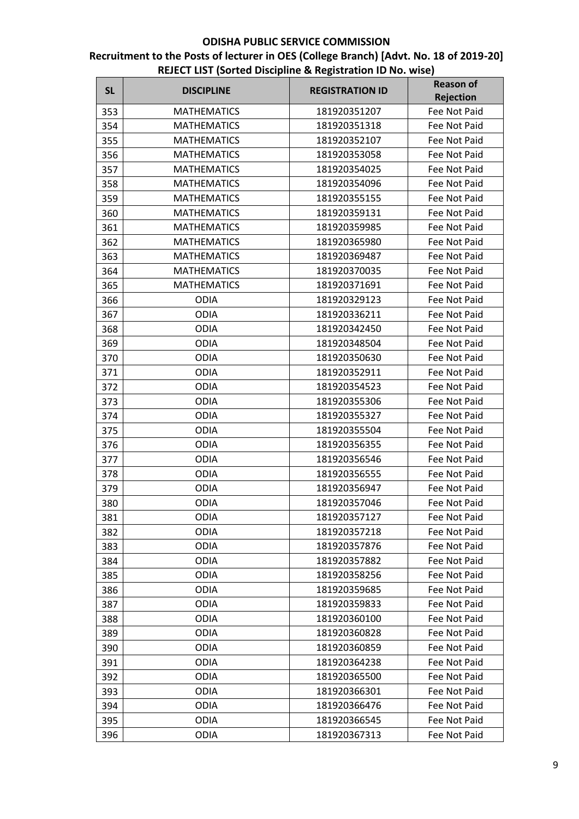| <b>SL</b> | <b>DISCIPLINE</b>  | <b>REGISTRATION ID</b> | <b>Reason of</b> |
|-----------|--------------------|------------------------|------------------|
|           |                    |                        | <b>Rejection</b> |
| 353       | <b>MATHEMATICS</b> | 181920351207           | Fee Not Paid     |
| 354       | <b>MATHEMATICS</b> | 181920351318           | Fee Not Paid     |
| 355       | <b>MATHEMATICS</b> | 181920352107           | Fee Not Paid     |
| 356       | <b>MATHEMATICS</b> | 181920353058           | Fee Not Paid     |
| 357       | <b>MATHEMATICS</b> | 181920354025           | Fee Not Paid     |
| 358       | <b>MATHEMATICS</b> | 181920354096           | Fee Not Paid     |
| 359       | <b>MATHEMATICS</b> | 181920355155           | Fee Not Paid     |
| 360       | <b>MATHEMATICS</b> | 181920359131           | Fee Not Paid     |
| 361       | <b>MATHEMATICS</b> | 181920359985           | Fee Not Paid     |
| 362       | <b>MATHEMATICS</b> | 181920365980           | Fee Not Paid     |
| 363       | <b>MATHEMATICS</b> | 181920369487           | Fee Not Paid     |
| 364       | <b>MATHEMATICS</b> | 181920370035           | Fee Not Paid     |
| 365       | <b>MATHEMATICS</b> | 181920371691           | Fee Not Paid     |
| 366       | <b>ODIA</b>        | 181920329123           | Fee Not Paid     |
| 367       | <b>ODIA</b>        | 181920336211           | Fee Not Paid     |
| 368       | <b>ODIA</b>        | 181920342450           | Fee Not Paid     |
| 369       | <b>ODIA</b>        | 181920348504           | Fee Not Paid     |
| 370       | <b>ODIA</b>        | 181920350630           | Fee Not Paid     |
| 371       | <b>ODIA</b>        | 181920352911           | Fee Not Paid     |
| 372       | <b>ODIA</b>        | 181920354523           | Fee Not Paid     |
| 373       | <b>ODIA</b>        | 181920355306           | Fee Not Paid     |
| 374       | <b>ODIA</b>        | 181920355327           | Fee Not Paid     |
| 375       | <b>ODIA</b>        | 181920355504           | Fee Not Paid     |
| 376       | <b>ODIA</b>        | 181920356355           | Fee Not Paid     |
| 377       | <b>ODIA</b>        | 181920356546           | Fee Not Paid     |
| 378       | <b>ODIA</b>        | 181920356555           | Fee Not Paid     |
| 379       | <b>ODIA</b>        | 181920356947           | Fee Not Paid     |
| 380       | <b>ODIA</b>        | 181920357046           | Fee Not Paid     |
| 381       | ODIA               | 181920357127           | Fee Not Paid     |
| 382       | <b>ODIA</b>        | 181920357218           | Fee Not Paid     |
| 383       | <b>ODIA</b>        | 181920357876           | Fee Not Paid     |
| 384       | <b>ODIA</b>        | 181920357882           | Fee Not Paid     |
| 385       | <b>ODIA</b>        | 181920358256           | Fee Not Paid     |
| 386       | <b>ODIA</b>        | 181920359685           | Fee Not Paid     |
| 387       | <b>ODIA</b>        | 181920359833           | Fee Not Paid     |
| 388       | <b>ODIA</b>        | 181920360100           | Fee Not Paid     |
| 389       | <b>ODIA</b>        | 181920360828           | Fee Not Paid     |
| 390       | <b>ODIA</b>        | 181920360859           | Fee Not Paid     |
| 391       | <b>ODIA</b>        | 181920364238           | Fee Not Paid     |
| 392       | <b>ODIA</b>        | 181920365500           | Fee Not Paid     |
| 393       | <b>ODIA</b>        | 181920366301           | Fee Not Paid     |
| 394       | <b>ODIA</b>        | 181920366476           | Fee Not Paid     |
| 395       | <b>ODIA</b>        | 181920366545           | Fee Not Paid     |
| 396       | <b>ODIA</b>        | 181920367313           | Fee Not Paid     |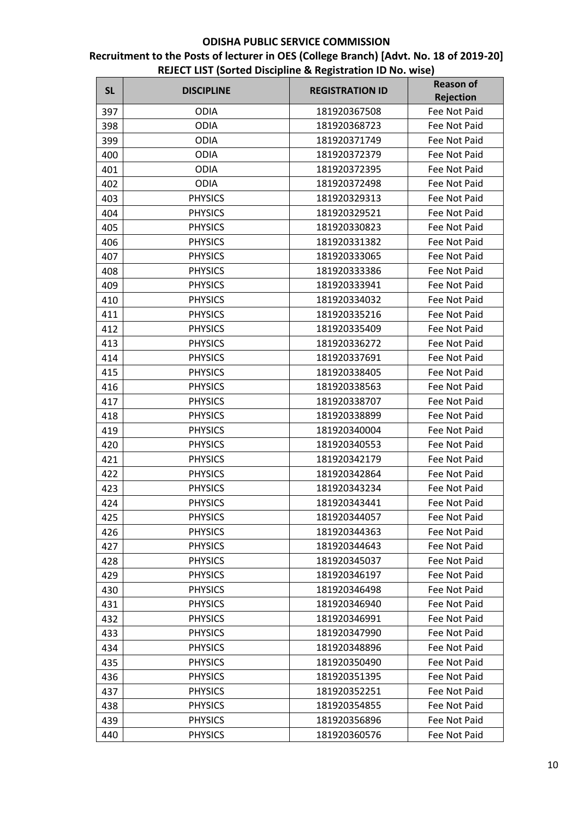| <b>SL</b> | <b>DISCIPLINE</b> | <b>REGISTRATION ID</b> | <b>Reason of</b> |
|-----------|-------------------|------------------------|------------------|
|           |                   |                        | <b>Rejection</b> |
| 397       | <b>ODIA</b>       | 181920367508           | Fee Not Paid     |
| 398       | <b>ODIA</b>       | 181920368723           | Fee Not Paid     |
| 399       | <b>ODIA</b>       | 181920371749           | Fee Not Paid     |
| 400       | <b>ODIA</b>       | 181920372379           | Fee Not Paid     |
| 401       | <b>ODIA</b>       | 181920372395           | Fee Not Paid     |
| 402       | <b>ODIA</b>       | 181920372498           | Fee Not Paid     |
| 403       | <b>PHYSICS</b>    | 181920329313           | Fee Not Paid     |
| 404       | <b>PHYSICS</b>    | 181920329521           | Fee Not Paid     |
| 405       | <b>PHYSICS</b>    | 181920330823           | Fee Not Paid     |
| 406       | <b>PHYSICS</b>    | 181920331382           | Fee Not Paid     |
| 407       | <b>PHYSICS</b>    | 181920333065           | Fee Not Paid     |
| 408       | <b>PHYSICS</b>    | 181920333386           | Fee Not Paid     |
| 409       | <b>PHYSICS</b>    | 181920333941           | Fee Not Paid     |
| 410       | <b>PHYSICS</b>    | 181920334032           | Fee Not Paid     |
| 411       | <b>PHYSICS</b>    | 181920335216           | Fee Not Paid     |
| 412       | <b>PHYSICS</b>    | 181920335409           | Fee Not Paid     |
| 413       | <b>PHYSICS</b>    | 181920336272           | Fee Not Paid     |
| 414       | <b>PHYSICS</b>    | 181920337691           | Fee Not Paid     |
| 415       | <b>PHYSICS</b>    | 181920338405           | Fee Not Paid     |
| 416       | <b>PHYSICS</b>    | 181920338563           | Fee Not Paid     |
| 417       | <b>PHYSICS</b>    | 181920338707           | Fee Not Paid     |
| 418       | <b>PHYSICS</b>    | 181920338899           | Fee Not Paid     |
| 419       | <b>PHYSICS</b>    | 181920340004           | Fee Not Paid     |
| 420       | <b>PHYSICS</b>    | 181920340553           | Fee Not Paid     |
| 421       | <b>PHYSICS</b>    | 181920342179           | Fee Not Paid     |
| 422       | <b>PHYSICS</b>    | 181920342864           | Fee Not Paid     |
| 423       | <b>PHYSICS</b>    | 181920343234           | Fee Not Paid     |
| 424       | <b>PHYSICS</b>    | 181920343441           | Fee Not Paid     |
| 425       | <b>PHYSICS</b>    | 181920344057           | Fee Not Paid     |
| 426       | <b>PHYSICS</b>    | 181920344363           | Fee Not Paid     |
| 427       | <b>PHYSICS</b>    | 181920344643           | Fee Not Paid     |
| 428       | <b>PHYSICS</b>    | 181920345037           | Fee Not Paid     |
| 429       | <b>PHYSICS</b>    | 181920346197           | Fee Not Paid     |
| 430       | <b>PHYSICS</b>    | 181920346498           | Fee Not Paid     |
| 431       | <b>PHYSICS</b>    | 181920346940           | Fee Not Paid     |
| 432       | <b>PHYSICS</b>    | 181920346991           | Fee Not Paid     |
| 433       | <b>PHYSICS</b>    | 181920347990           | Fee Not Paid     |
| 434       | <b>PHYSICS</b>    | 181920348896           | Fee Not Paid     |
| 435       | <b>PHYSICS</b>    | 181920350490           | Fee Not Paid     |
| 436       | <b>PHYSICS</b>    | 181920351395           | Fee Not Paid     |
| 437       | <b>PHYSICS</b>    | 181920352251           | Fee Not Paid     |
| 438       | <b>PHYSICS</b>    | 181920354855           | Fee Not Paid     |
| 439       | <b>PHYSICS</b>    | 181920356896           | Fee Not Paid     |
| 440       | <b>PHYSICS</b>    | 181920360576           | Fee Not Paid     |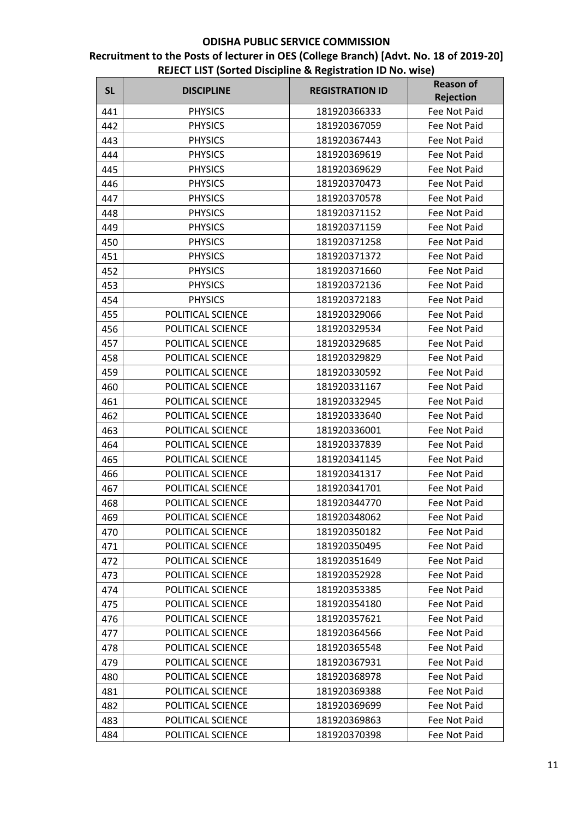| <b>SL</b> | <b>DISCIPLINE</b> | <b>REGISTRATION ID</b> | <b>Reason of</b><br><b>Rejection</b> |
|-----------|-------------------|------------------------|--------------------------------------|
| 441       | <b>PHYSICS</b>    | 181920366333           | Fee Not Paid                         |
| 442       | <b>PHYSICS</b>    | 181920367059           | Fee Not Paid                         |
| 443       | <b>PHYSICS</b>    | 181920367443           | Fee Not Paid                         |
| 444       | <b>PHYSICS</b>    | 181920369619           | Fee Not Paid                         |
| 445       | <b>PHYSICS</b>    | 181920369629           | Fee Not Paid                         |
| 446       | <b>PHYSICS</b>    | 181920370473           | Fee Not Paid                         |
| 447       | <b>PHYSICS</b>    | 181920370578           | Fee Not Paid                         |
| 448       | <b>PHYSICS</b>    | 181920371152           | Fee Not Paid                         |
| 449       | <b>PHYSICS</b>    | 181920371159           | Fee Not Paid                         |
| 450       | <b>PHYSICS</b>    | 181920371258           | Fee Not Paid                         |
| 451       | <b>PHYSICS</b>    | 181920371372           | Fee Not Paid                         |
| 452       | <b>PHYSICS</b>    | 181920371660           | Fee Not Paid                         |
| 453       | <b>PHYSICS</b>    | 181920372136           | Fee Not Paid                         |
| 454       | <b>PHYSICS</b>    | 181920372183           | Fee Not Paid                         |
| 455       | POLITICAL SCIENCE | 181920329066           | <b>Fee Not Paid</b>                  |
| 456       | POLITICAL SCIENCE | 181920329534           | Fee Not Paid                         |
| 457       | POLITICAL SCIENCE | 181920329685           | Fee Not Paid                         |
| 458       | POLITICAL SCIENCE | 181920329829           | Fee Not Paid                         |
| 459       | POLITICAL SCIENCE | 181920330592           | Fee Not Paid                         |
| 460       | POLITICAL SCIENCE | 181920331167           | Fee Not Paid                         |
| 461       | POLITICAL SCIENCE | 181920332945           | Fee Not Paid                         |
| 462       | POLITICAL SCIENCE | 181920333640           | Fee Not Paid                         |
| 463       | POLITICAL SCIENCE | 181920336001           | Fee Not Paid                         |
| 464       | POLITICAL SCIENCE | 181920337839           | Fee Not Paid                         |
| 465       | POLITICAL SCIENCE | 181920341145           | Fee Not Paid                         |
| 466       | POLITICAL SCIENCE | 181920341317           | Fee Not Paid                         |
| 467       | POLITICAL SCIENCE | 181920341701           | <b>Fee Not Paid</b>                  |
| 468       | POLITICAL SCIENCE | 181920344770           | Fee Not Paid                         |
| 469       | POLITICAL SCIENCE | 181920348062           | Fee Not Paid                         |
| 470       | POLITICAL SCIENCE | 181920350182           | Fee Not Paid                         |
| 471       | POLITICAL SCIENCE | 181920350495           | Fee Not Paid                         |
| 472       | POLITICAL SCIENCE | 181920351649           | Fee Not Paid                         |
| 473       | POLITICAL SCIENCE | 181920352928           | Fee Not Paid                         |
| 474       | POLITICAL SCIENCE | 181920353385           | Fee Not Paid                         |
| 475       | POLITICAL SCIENCE | 181920354180           | Fee Not Paid                         |
| 476       | POLITICAL SCIENCE | 181920357621           | Fee Not Paid                         |
| 477       | POLITICAL SCIENCE | 181920364566           | Fee Not Paid                         |
| 478       | POLITICAL SCIENCE | 181920365548           | Fee Not Paid                         |
| 479       | POLITICAL SCIENCE | 181920367931           | Fee Not Paid                         |
| 480       | POLITICAL SCIENCE | 181920368978           | Fee Not Paid                         |
| 481       | POLITICAL SCIENCE | 181920369388           | Fee Not Paid                         |
| 482       | POLITICAL SCIENCE | 181920369699           | Fee Not Paid                         |
| 483       | POLITICAL SCIENCE | 181920369863           | Fee Not Paid                         |
| 484       | POLITICAL SCIENCE | 181920370398           | Fee Not Paid                         |